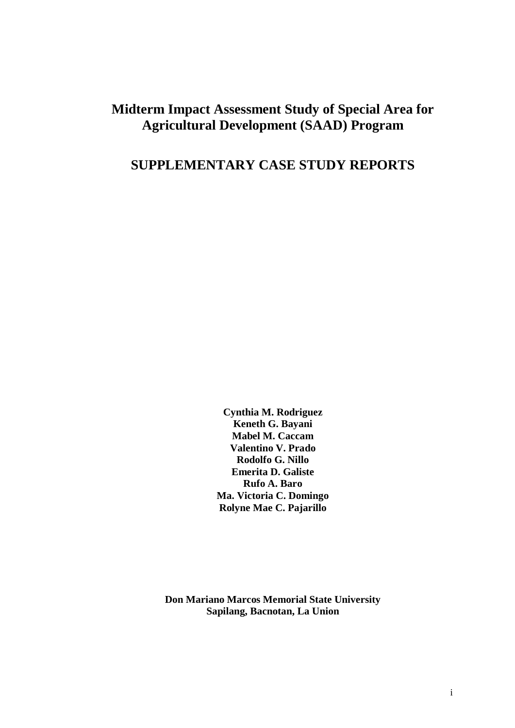# <span id="page-0-0"></span>**Midterm Impact Assessment Study of Special Area for Agricultural Development (SAAD) Program**

# **SUPPLEMENTARY CASE STUDY REPORTS**

**Cynthia M. Rodriguez Keneth G. Bayani Mabel M. Caccam Valentino V. Prado Rodolfo G. Nillo Emerita D. Galiste Rufo A. Baro Ma. Victoria C. Domingo Rolyne Mae C. Pajarillo**

**Don Mariano Marcos Memorial State University Sapilang, Bacnotan, La Union**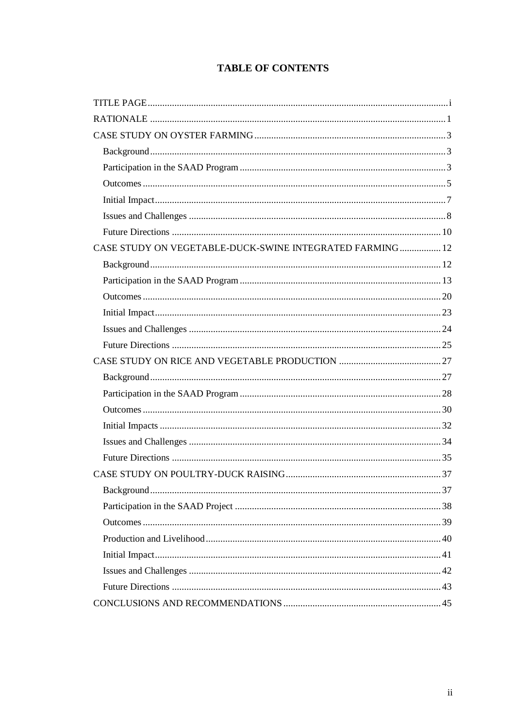## **TABLE OF CONTENTS**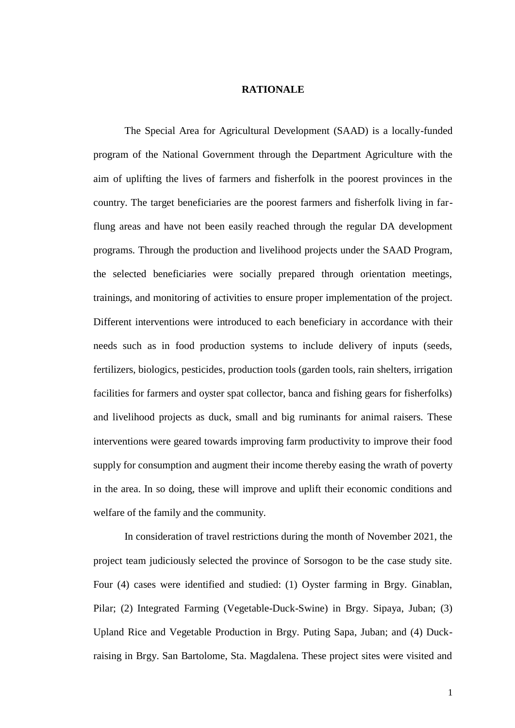### **RATIONALE**

<span id="page-2-0"></span>The Special Area for Agricultural Development (SAAD) is a locally-funded program of the National Government through the Department Agriculture with the aim of uplifting the lives of farmers and fisherfolk in the poorest provinces in the country. The target beneficiaries are the poorest farmers and fisherfolk living in farflung areas and have not been easily reached through the regular DA development programs. Through the production and livelihood projects under the SAAD Program, the selected beneficiaries were socially prepared through orientation meetings, trainings, and monitoring of activities to ensure proper implementation of the project. Different interventions were introduced to each beneficiary in accordance with their needs such as in food production systems to include delivery of inputs (seeds, fertilizers, biologics, pesticides, production tools (garden tools, rain shelters, irrigation facilities for farmers and oyster spat collector, banca and fishing gears for fisherfolks) and livelihood projects as duck, small and big ruminants for animal raisers. These interventions were geared towards improving farm productivity to improve their food supply for consumption and augment their income thereby easing the wrath of poverty in the area. In so doing, these will improve and uplift their economic conditions and welfare of the family and the community.

In consideration of travel restrictions during the month of November 2021, the project team judiciously selected the province of Sorsogon to be the case study site. Four (4) cases were identified and studied: (1) Oyster farming in Brgy. Ginablan, Pilar; (2) Integrated Farming (Vegetable-Duck-Swine) in Brgy. Sipaya, Juban; (3) Upland Rice and Vegetable Production in Brgy. Puting Sapa, Juban; and (4) Duckraising in Brgy. San Bartolome, Sta. Magdalena. These project sites were visited and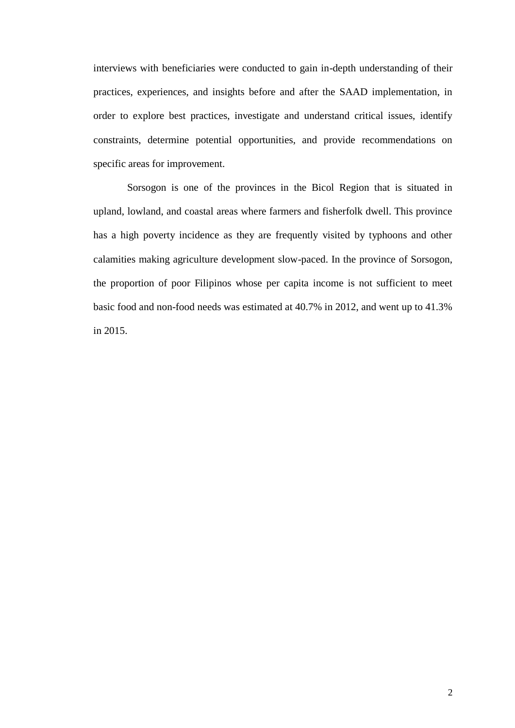interviews with beneficiaries were conducted to gain in-depth understanding of their practices, experiences, and insights before and after the SAAD implementation, in order to explore best practices, investigate and understand critical issues, identify constraints, determine potential opportunities, and provide recommendations on specific areas for improvement.

Sorsogon is one of the provinces in the Bicol Region that is situated in upland, lowland, and coastal areas where farmers and fisherfolk dwell. This province has a high poverty incidence as they are frequently visited by typhoons and other calamities making agriculture development slow-paced. In the province of Sorsogon, the proportion of poor Filipinos whose per capita income is not sufficient to meet basic food and non-food needs was estimated at 40.7% in 2012, and went up to 41.3% in 2015.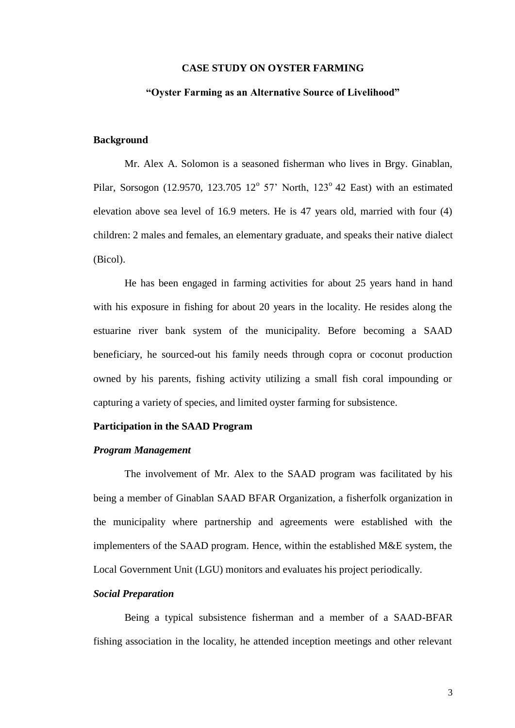#### **CASE STUDY ON OYSTER FARMING**

## <span id="page-4-0"></span>**"Oyster Farming as an Alternative Source of Livelihood"**

## <span id="page-4-1"></span>**Background**

Mr. Alex A. Solomon is a seasoned fisherman who lives in Brgy. Ginablan, Pilar, Sorsogon (12.9570, 123.705  $12^{\circ}$  57' North, 123 $^{\circ}$  42 East) with an estimated elevation above sea level of 16.9 meters. He is 47 years old, married with four (4) children: 2 males and females, an elementary graduate, and speaks their native dialect (Bicol).

He has been engaged in farming activities for about 25 years hand in hand with his exposure in fishing for about 20 years in the locality. He resides along the estuarine river bank system of the municipality. Before becoming a SAAD beneficiary, he sourced-out his family needs through copra or coconut production owned by his parents, fishing activity utilizing a small fish coral impounding or capturing a variety of species, and limited oyster farming for subsistence.

#### <span id="page-4-2"></span>**Participation in the SAAD Program**

## *Program Management*

The involvement of Mr. Alex to the SAAD program was facilitated by his being a member of Ginablan SAAD BFAR Organization, a fisherfolk organization in the municipality where partnership and agreements were established with the implementers of the SAAD program. Hence, within the established M&E system, the Local Government Unit (LGU) monitors and evaluates his project periodically.

## *Social Preparation*

Being a typical subsistence fisherman and a member of a SAAD-BFAR fishing association in the locality, he attended inception meetings and other relevant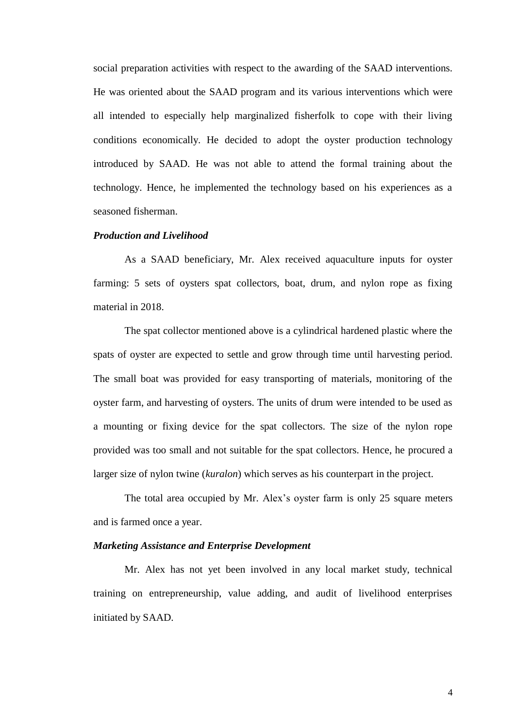social preparation activities with respect to the awarding of the SAAD interventions. He was oriented about the SAAD program and its various interventions which were all intended to especially help marginalized fisherfolk to cope with their living conditions economically. He decided to adopt the oyster production technology introduced by SAAD. He was not able to attend the formal training about the technology. Hence, he implemented the technology based on his experiences as a seasoned fisherman.

#### *Production and Livelihood*

As a SAAD beneficiary, Mr. Alex received aquaculture inputs for oyster farming: 5 sets of oysters spat collectors, boat, drum, and nylon rope as fixing material in 2018.

The spat collector mentioned above is a cylindrical hardened plastic where the spats of oyster are expected to settle and grow through time until harvesting period. The small boat was provided for easy transporting of materials, monitoring of the oyster farm, and harvesting of oysters. The units of drum were intended to be used as a mounting or fixing device for the spat collectors. The size of the nylon rope provided was too small and not suitable for the spat collectors. Hence, he procured a larger size of nylon twine (*kuralon*) which serves as his counterpart in the project.

The total area occupied by Mr. Alex's oyster farm is only 25 square meters and is farmed once a year.

#### *Marketing Assistance and Enterprise Development*

Mr. Alex has not yet been involved in any local market study, technical training on entrepreneurship, value adding, and audit of livelihood enterprises initiated by SAAD.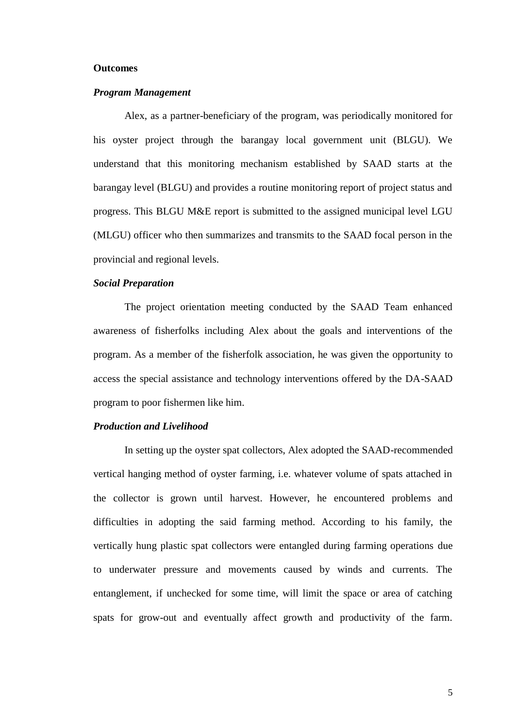## <span id="page-6-0"></span>**Outcomes**

#### *Program Management*

Alex, as a partner-beneficiary of the program, was periodically monitored for his oyster project through the barangay local government unit (BLGU). We understand that this monitoring mechanism established by SAAD starts at the barangay level (BLGU) and provides a routine monitoring report of project status and progress. This BLGU M&E report is submitted to the assigned municipal level LGU (MLGU) officer who then summarizes and transmits to the SAAD focal person in the provincial and regional levels.

## *Social Preparation*

The project orientation meeting conducted by the SAAD Team enhanced awareness of fisherfolks including Alex about the goals and interventions of the program. As a member of the fisherfolk association, he was given the opportunity to access the special assistance and technology interventions offered by the DA-SAAD program to poor fishermen like him.

## *Production and Livelihood*

In setting up the oyster spat collectors, Alex adopted the SAAD-recommended vertical hanging method of oyster farming, i.e. whatever volume of spats attached in the collector is grown until harvest. However, he encountered problems and difficulties in adopting the said farming method. According to his family, the vertically hung plastic spat collectors were entangled during farming operations due to underwater pressure and movements caused by winds and currents. The entanglement, if unchecked for some time, will limit the space or area of catching spats for grow-out and eventually affect growth and productivity of the farm.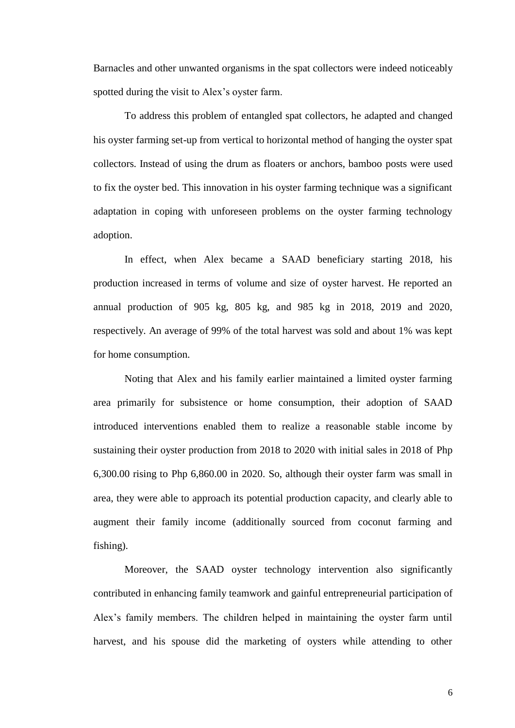Barnacles and other unwanted organisms in the spat collectors were indeed noticeably spotted during the visit to Alex's oyster farm.

To address this problem of entangled spat collectors, he adapted and changed his oyster farming set-up from vertical to horizontal method of hanging the oyster spat collectors. Instead of using the drum as floaters or anchors, bamboo posts were used to fix the oyster bed. This innovation in his oyster farming technique was a significant adaptation in coping with unforeseen problems on the oyster farming technology adoption.

In effect, when Alex became a SAAD beneficiary starting 2018, his production increased in terms of volume and size of oyster harvest. He reported an annual production of 905 kg, 805 kg, and 985 kg in 2018, 2019 and 2020, respectively. An average of 99% of the total harvest was sold and about 1% was kept for home consumption.

Noting that Alex and his family earlier maintained a limited oyster farming area primarily for subsistence or home consumption, their adoption of SAAD introduced interventions enabled them to realize a reasonable stable income by sustaining their oyster production from 2018 to 2020 with initial sales in 2018 of Php 6,300.00 rising to Php 6,860.00 in 2020. So, although their oyster farm was small in area, they were able to approach its potential production capacity, and clearly able to augment their family income (additionally sourced from coconut farming and fishing).

Moreover, the SAAD oyster technology intervention also significantly contributed in enhancing family teamwork and gainful entrepreneurial participation of Alex's family members. The children helped in maintaining the oyster farm until harvest, and his spouse did the marketing of oysters while attending to other

6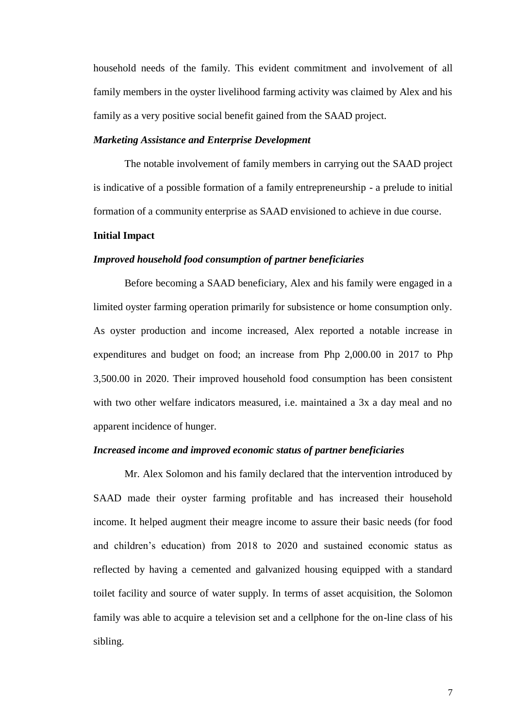household needs of the family. This evident commitment and involvement of all family members in the oyster livelihood farming activity was claimed by Alex and his family as a very positive social benefit gained from the SAAD project.

#### *Marketing Assistance and Enterprise Development*

The notable involvement of family members in carrying out the SAAD project is indicative of a possible formation of a family entrepreneurship - a prelude to initial formation of a community enterprise as SAAD envisioned to achieve in due course.

#### <span id="page-8-0"></span>**Initial Impact**

#### *Improved household food consumption of partner beneficiaries*

Before becoming a SAAD beneficiary, Alex and his family were engaged in a limited oyster farming operation primarily for subsistence or home consumption only. As oyster production and income increased, Alex reported a notable increase in expenditures and budget on food; an increase from Php 2,000.00 in 2017 to Php 3,500.00 in 2020. Their improved household food consumption has been consistent with two other welfare indicators measured, i.e. maintained a 3x a day meal and no apparent incidence of hunger.

## *Increased income and improved economic status of partner beneficiaries*

Mr. Alex Solomon and his family declared that the intervention introduced by SAAD made their oyster farming profitable and has increased their household income. It helped augment their meagre income to assure their basic needs (for food and children's education) from 2018 to 2020 and sustained economic status as reflected by having a cemented and galvanized housing equipped with a standard toilet facility and source of water supply. In terms of asset acquisition, the Solomon family was able to acquire a television set and a cellphone for the on-line class of his sibling.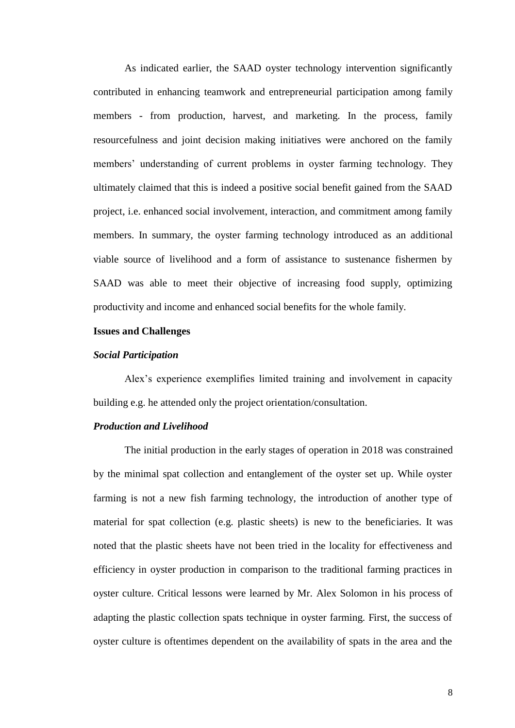As indicated earlier, the SAAD oyster technology intervention significantly contributed in enhancing teamwork and entrepreneurial participation among family members - from production, harvest, and marketing. In the process, family resourcefulness and joint decision making initiatives were anchored on the family members' understanding of current problems in oyster farming technology. They ultimately claimed that this is indeed a positive social benefit gained from the SAAD project, i.e. enhanced social involvement, interaction, and commitment among family members. In summary, the oyster farming technology introduced as an additional viable source of livelihood and a form of assistance to sustenance fishermen by SAAD was able to meet their objective of increasing food supply, optimizing productivity and income and enhanced social benefits for the whole family.

#### <span id="page-9-0"></span>**Issues and Challenges**

## *Social Participation*

Alex's experience exemplifies limited training and involvement in capacity building e.g. he attended only the project orientation/consultation.

## *Production and Livelihood*

The initial production in the early stages of operation in 2018 was constrained by the minimal spat collection and entanglement of the oyster set up. While oyster farming is not a new fish farming technology, the introduction of another type of material for spat collection (e.g. plastic sheets) is new to the beneficiaries. It was noted that the plastic sheets have not been tried in the locality for effectiveness and efficiency in oyster production in comparison to the traditional farming practices in oyster culture. Critical lessons were learned by Mr. Alex Solomon in his process of adapting the plastic collection spats technique in oyster farming. First, the success of oyster culture is oftentimes dependent on the availability of spats in the area and the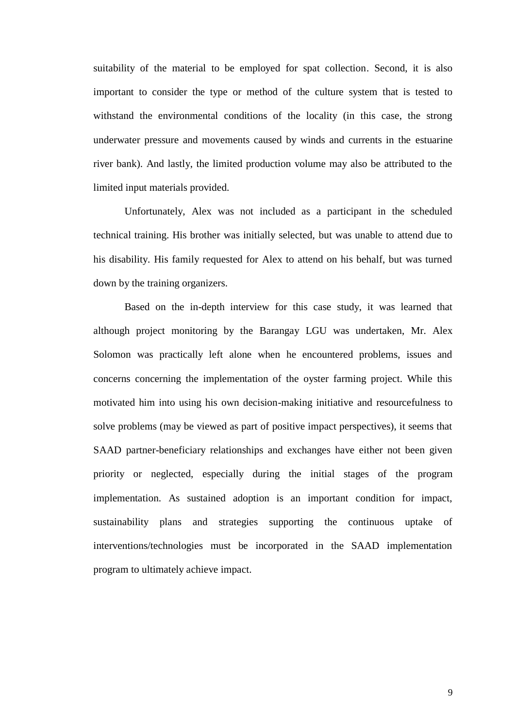suitability of the material to be employed for spat collection. Second, it is also important to consider the type or method of the culture system that is tested to withstand the environmental conditions of the locality (in this case, the strong underwater pressure and movements caused by winds and currents in the estuarine river bank). And lastly, the limited production volume may also be attributed to the limited input materials provided.

Unfortunately, Alex was not included as a participant in the scheduled technical training. His brother was initially selected, but was unable to attend due to his disability. His family requested for Alex to attend on his behalf, but was turned down by the training organizers.

Based on the in-depth interview for this case study, it was learned that although project monitoring by the Barangay LGU was undertaken, Mr. Alex Solomon was practically left alone when he encountered problems, issues and concerns concerning the implementation of the oyster farming project. While this motivated him into using his own decision-making initiative and resourcefulness to solve problems (may be viewed as part of positive impact perspectives), it seems that SAAD partner-beneficiary relationships and exchanges have either not been given priority or neglected, especially during the initial stages of the program implementation. As sustained adoption is an important condition for impact, sustainability plans and strategies supporting the continuous uptake of interventions/technologies must be incorporated in the SAAD implementation program to ultimately achieve impact.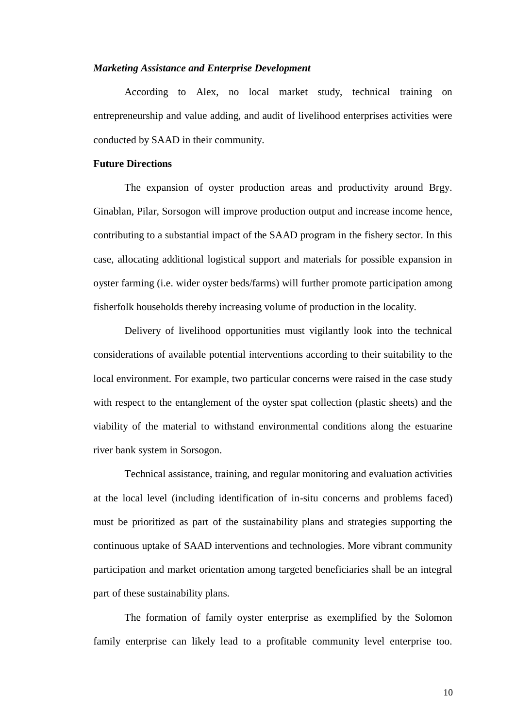#### *Marketing Assistance and Enterprise Development*

According to Alex, no local market study, technical training on entrepreneurship and value adding, and audit of livelihood enterprises activities were conducted by SAAD in their community.

### <span id="page-11-0"></span>**Future Directions**

The expansion of oyster production areas and productivity around Brgy. Ginablan, Pilar, Sorsogon will improve production output and increase income hence, contributing to a substantial impact of the SAAD program in the fishery sector. In this case, allocating additional logistical support and materials for possible expansion in oyster farming (i.e. wider oyster beds/farms) will further promote participation among fisherfolk households thereby increasing volume of production in the locality.

Delivery of livelihood opportunities must vigilantly look into the technical considerations of available potential interventions according to their suitability to the local environment. For example, two particular concerns were raised in the case study with respect to the entanglement of the oyster spat collection (plastic sheets) and the viability of the material to withstand environmental conditions along the estuarine river bank system in Sorsogon.

Technical assistance, training, and regular monitoring and evaluation activities at the local level (including identification of in-situ concerns and problems faced) must be prioritized as part of the sustainability plans and strategies supporting the continuous uptake of SAAD interventions and technologies. More vibrant community participation and market orientation among targeted beneficiaries shall be an integral part of these sustainability plans.

The formation of family oyster enterprise as exemplified by the Solomon family enterprise can likely lead to a profitable community level enterprise too.

10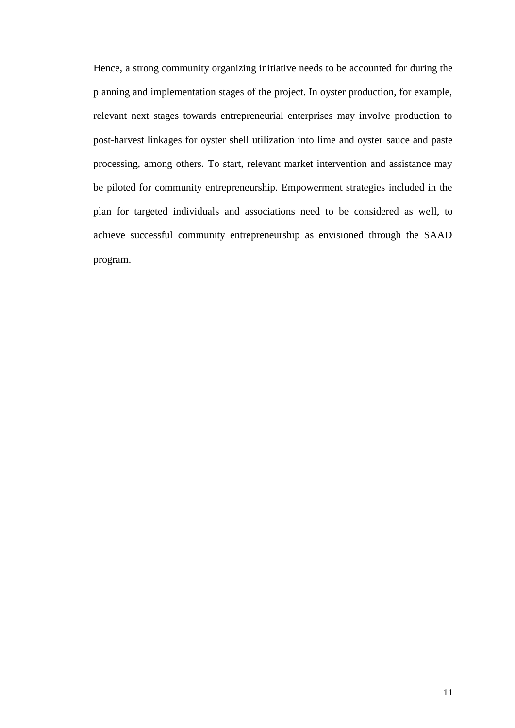Hence, a strong community organizing initiative needs to be accounted for during the planning and implementation stages of the project. In oyster production, for example, relevant next stages towards entrepreneurial enterprises may involve production to post-harvest linkages for oyster shell utilization into lime and oyster sauce and paste processing, among others. To start, relevant market intervention and assistance may be piloted for community entrepreneurship. Empowerment strategies included in the plan for targeted individuals and associations need to be considered as well, to achieve successful community entrepreneurship as envisioned through the SAAD program.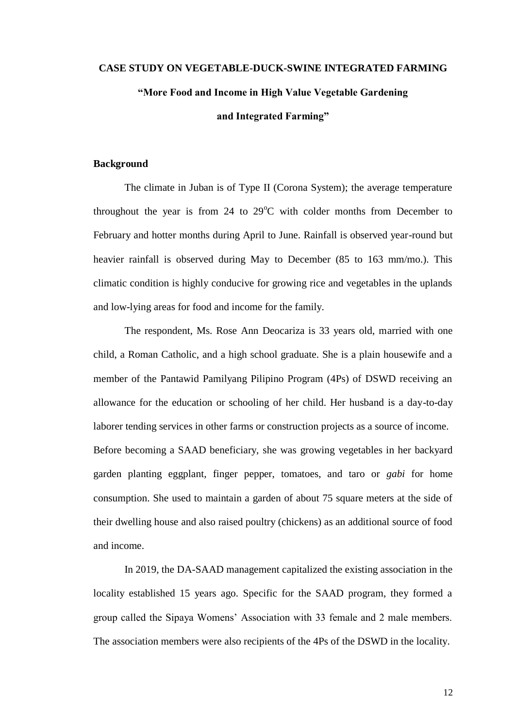# <span id="page-13-0"></span>**CASE STUDY ON VEGETABLE-DUCK-SWINE INTEGRATED FARMING "More Food and Income in High Value Vegetable Gardening and Integrated Farming"**

## <span id="page-13-1"></span>**Background**

The climate in Juban is of Type II (Corona System); the average temperature throughout the year is from  $24$  to  $29^{\circ}$ C with colder months from December to February and hotter months during April to June. Rainfall is observed year-round but heavier rainfall is observed during May to December (85 to 163 mm/mo.). This climatic condition is highly conducive for growing rice and vegetables in the uplands and low-lying areas for food and income for the family.

The respondent, Ms. Rose Ann Deocariza is 33 years old, married with one child, a Roman Catholic, and a high school graduate. She is a plain housewife and a member of the Pantawid Pamilyang Pilipino Program (4Ps) of DSWD receiving an allowance for the education or schooling of her child. Her husband is a day-to-day laborer tending services in other farms or construction projects as a source of income. Before becoming a SAAD beneficiary, she was growing vegetables in her backyard garden planting eggplant, finger pepper, tomatoes, and taro or *gabi* for home consumption. She used to maintain a garden of about 75 square meters at the side of their dwelling house and also raised poultry (chickens) as an additional source of food and income.

In 2019, the DA-SAAD management capitalized the existing association in the locality established 15 years ago. Specific for the SAAD program, they formed a group called the Sipaya Womens' Association with 33 female and 2 male members. The association members were also recipients of the 4Ps of the DSWD in the locality.

12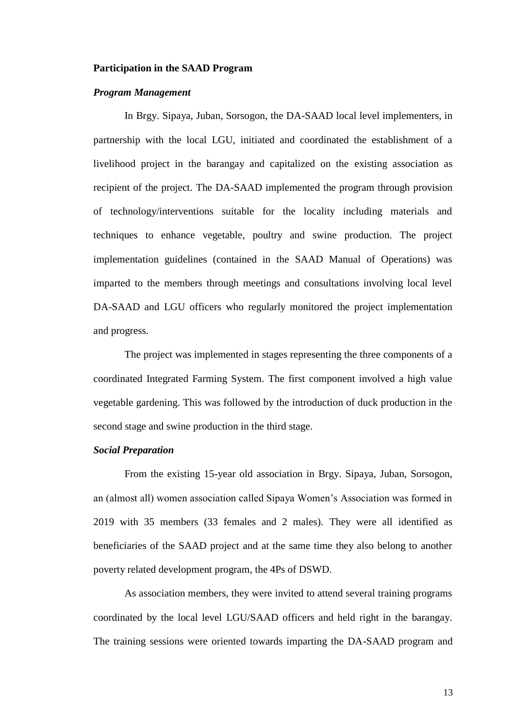## <span id="page-14-0"></span>**Participation in the SAAD Program**

#### *Program Management*

In Brgy. Sipaya, Juban, Sorsogon, the DA-SAAD local level implementers, in partnership with the local LGU, initiated and coordinated the establishment of a livelihood project in the barangay and capitalized on the existing association as recipient of the project. The DA-SAAD implemented the program through provision of technology/interventions suitable for the locality including materials and techniques to enhance vegetable, poultry and swine production. The project implementation guidelines (contained in the SAAD Manual of Operations) was imparted to the members through meetings and consultations involving local level DA-SAAD and LGU officers who regularly monitored the project implementation and progress.

The project was implemented in stages representing the three components of a coordinated Integrated Farming System. The first component involved a high value vegetable gardening. This was followed by the introduction of duck production in the second stage and swine production in the third stage.

## *Social Preparation*

From the existing 15-year old association in Brgy. Sipaya, Juban, Sorsogon, an (almost all) women association called Sipaya Women's Association was formed in 2019 with 35 members (33 females and 2 males). They were all identified as beneficiaries of the SAAD project and at the same time they also belong to another poverty related development program, the 4Ps of DSWD.

As association members, they were invited to attend several training programs coordinated by the local level LGU/SAAD officers and held right in the barangay. The training sessions were oriented towards imparting the DA-SAAD program and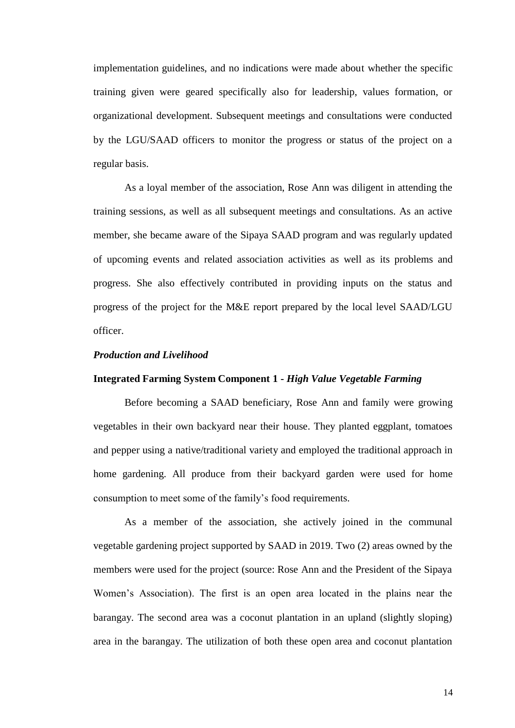implementation guidelines, and no indications were made about whether the specific training given were geared specifically also for leadership, values formation, or organizational development. Subsequent meetings and consultations were conducted by the LGU/SAAD officers to monitor the progress or status of the project on a regular basis.

As a loyal member of the association, Rose Ann was diligent in attending the training sessions, as well as all subsequent meetings and consultations. As an active member, she became aware of the Sipaya SAAD program and was regularly updated of upcoming events and related association activities as well as its problems and progress. She also effectively contributed in providing inputs on the status and progress of the project for the M&E report prepared by the local level SAAD/LGU officer.

## *Production and Livelihood*

#### **Integrated Farming System Component 1 -** *High Value Vegetable Farming*

Before becoming a SAAD beneficiary, Rose Ann and family were growing vegetables in their own backyard near their house. They planted eggplant, tomatoes and pepper using a native/traditional variety and employed the traditional approach in home gardening. All produce from their backyard garden were used for home consumption to meet some of the family's food requirements.

As a member of the association, she actively joined in the communal vegetable gardening project supported by SAAD in 2019. Two (2) areas owned by the members were used for the project (source: Rose Ann and the President of the Sipaya Women's Association). The first is an open area located in the plains near the barangay. The second area was a coconut plantation in an upland (slightly sloping) area in the barangay. The utilization of both these open area and coconut plantation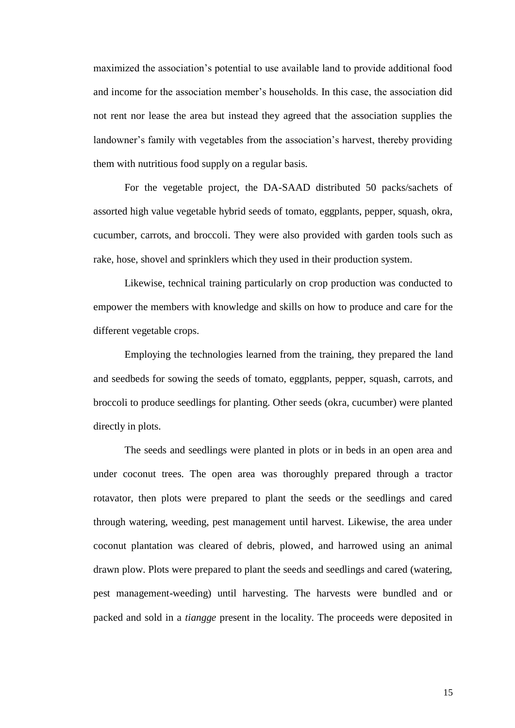maximized the association's potential to use available land to provide additional food and income for the association member's households. In this case, the association did not rent nor lease the area but instead they agreed that the association supplies the landowner's family with vegetables from the association's harvest, thereby providing them with nutritious food supply on a regular basis.

For the vegetable project, the DA-SAAD distributed 50 packs/sachets of assorted high value vegetable hybrid seeds of tomato, eggplants, pepper, squash, okra, cucumber, carrots, and broccoli. They were also provided with garden tools such as rake, hose, shovel and sprinklers which they used in their production system.

Likewise, technical training particularly on crop production was conducted to empower the members with knowledge and skills on how to produce and care for the different vegetable crops.

Employing the technologies learned from the training, they prepared the land and seedbeds for sowing the seeds of tomato, eggplants, pepper, squash, carrots, and broccoli to produce seedlings for planting. Other seeds (okra, cucumber) were planted directly in plots.

The seeds and seedlings were planted in plots or in beds in an open area and under coconut trees. The open area was thoroughly prepared through a tractor rotavator, then plots were prepared to plant the seeds or the seedlings and cared through watering, weeding, pest management until harvest. Likewise, the area under coconut plantation was cleared of debris, plowed, and harrowed using an animal drawn plow. Plots were prepared to plant the seeds and seedlings and cared (watering, pest management-weeding) until harvesting. The harvests were bundled and or packed and sold in a *tiangge* present in the locality. The proceeds were deposited in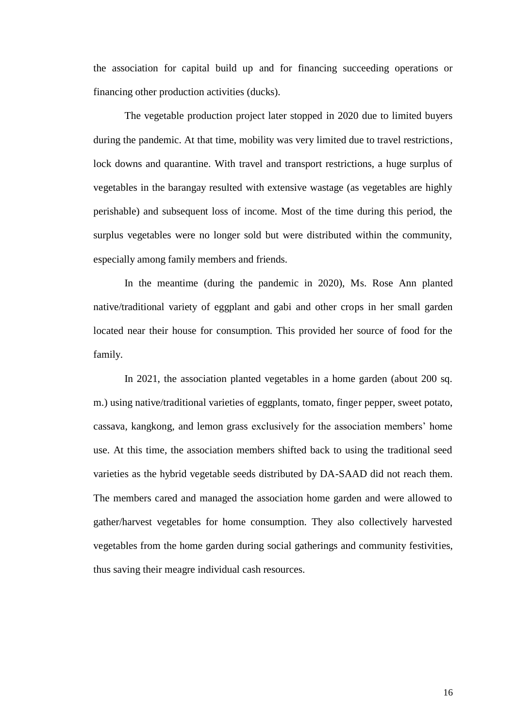the association for capital build up and for financing succeeding operations or financing other production activities (ducks).

The vegetable production project later stopped in 2020 due to limited buyers during the pandemic. At that time, mobility was very limited due to travel restrictions, lock downs and quarantine. With travel and transport restrictions, a huge surplus of vegetables in the barangay resulted with extensive wastage (as vegetables are highly perishable) and subsequent loss of income. Most of the time during this period, the surplus vegetables were no longer sold but were distributed within the community, especially among family members and friends.

In the meantime (during the pandemic in 2020), Ms. Rose Ann planted native/traditional variety of eggplant and gabi and other crops in her small garden located near their house for consumption. This provided her source of food for the family.

In 2021, the association planted vegetables in a home garden (about 200 sq. m.) using native/traditional varieties of eggplants, tomato, finger pepper, sweet potato, cassava, kangkong, and lemon grass exclusively for the association members' home use. At this time, the association members shifted back to using the traditional seed varieties as the hybrid vegetable seeds distributed by DA-SAAD did not reach them. The members cared and managed the association home garden and were allowed to gather/harvest vegetables for home consumption. They also collectively harvested vegetables from the home garden during social gatherings and community festivities, thus saving their meagre individual cash resources.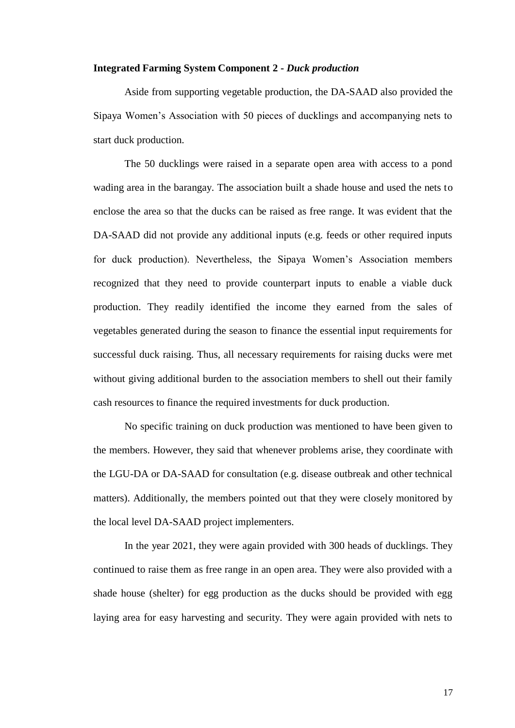#### **Integrated Farming System Component 2 -** *Duck production*

Aside from supporting vegetable production, the DA-SAAD also provided the Sipaya Women's Association with 50 pieces of ducklings and accompanying nets to start duck production.

The 50 ducklings were raised in a separate open area with access to a pond wading area in the barangay. The association built a shade house and used the nets to enclose the area so that the ducks can be raised as free range. It was evident that the DA-SAAD did not provide any additional inputs (e.g. feeds or other required inputs for duck production). Nevertheless, the Sipaya Women's Association members recognized that they need to provide counterpart inputs to enable a viable duck production. They readily identified the income they earned from the sales of vegetables generated during the season to finance the essential input requirements for successful duck raising. Thus, all necessary requirements for raising ducks were met without giving additional burden to the association members to shell out their family cash resources to finance the required investments for duck production.

No specific training on duck production was mentioned to have been given to the members. However, they said that whenever problems arise, they coordinate with the LGU-DA or DA-SAAD for consultation (e.g. disease outbreak and other technical matters). Additionally, the members pointed out that they were closely monitored by the local level DA-SAAD project implementers.

In the year 2021, they were again provided with 300 heads of ducklings. They continued to raise them as free range in an open area. They were also provided with a shade house (shelter) for egg production as the ducks should be provided with egg laying area for easy harvesting and security. They were again provided with nets to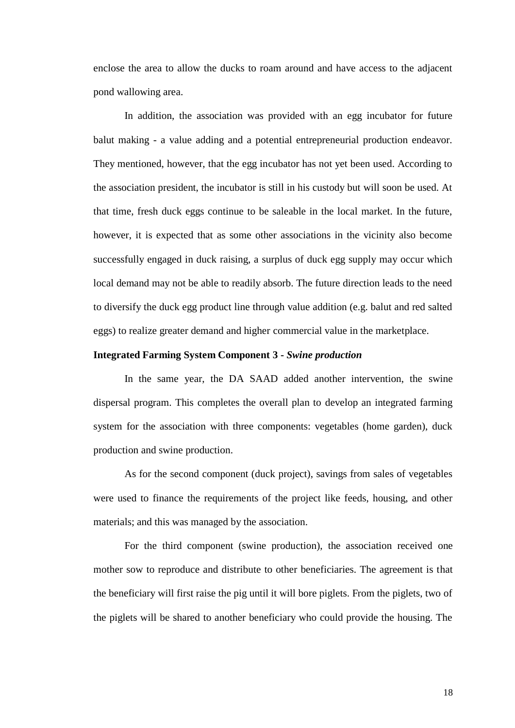enclose the area to allow the ducks to roam around and have access to the adjacent pond wallowing area.

In addition, the association was provided with an egg incubator for future balut making - a value adding and a potential entrepreneurial production endeavor. They mentioned, however, that the egg incubator has not yet been used. According to the association president, the incubator is still in his custody but will soon be used. At that time, fresh duck eggs continue to be saleable in the local market. In the future, however, it is expected that as some other associations in the vicinity also become successfully engaged in duck raising, a surplus of duck egg supply may occur which local demand may not be able to readily absorb. The future direction leads to the need to diversify the duck egg product line through value addition (e.g. balut and red salted eggs) to realize greater demand and higher commercial value in the marketplace.

## **Integrated Farming System Component 3 -** *Swine production*

In the same year, the DA SAAD added another intervention, the swine dispersal program. This completes the overall plan to develop an integrated farming system for the association with three components: vegetables (home garden), duck production and swine production.

As for the second component (duck project), savings from sales of vegetables were used to finance the requirements of the project like feeds, housing, and other materials; and this was managed by the association.

For the third component (swine production), the association received one mother sow to reproduce and distribute to other beneficiaries. The agreement is that the beneficiary will first raise the pig until it will bore piglets. From the piglets, two of the piglets will be shared to another beneficiary who could provide the housing. The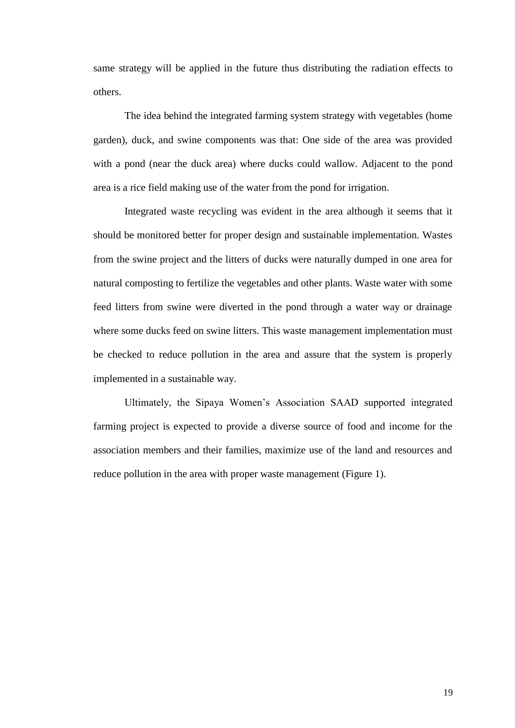same strategy will be applied in the future thus distributing the radiation effects to others.

The idea behind the integrated farming system strategy with vegetables (home garden), duck, and swine components was that: One side of the area was provided with a pond (near the duck area) where ducks could wallow. Adjacent to the pond area is a rice field making use of the water from the pond for irrigation.

Integrated waste recycling was evident in the area although it seems that it should be monitored better for proper design and sustainable implementation. Wastes from the swine project and the litters of ducks were naturally dumped in one area for natural composting to fertilize the vegetables and other plants. Waste water with some feed litters from swine were diverted in the pond through a water way or drainage where some ducks feed on swine litters. This waste management implementation must be checked to reduce pollution in the area and assure that the system is properly implemented in a sustainable way.

Ultimately, the Sipaya Women's Association SAAD supported integrated farming project is expected to provide a diverse source of food and income for the association members and their families, maximize use of the land and resources and reduce pollution in the area with proper waste management (Figure 1).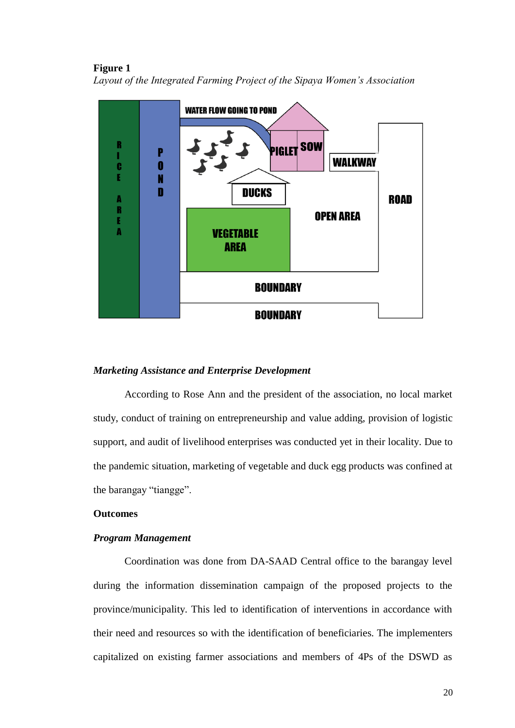**Figure 1**



*Layout of the Integrated Farming Project of the Sipaya Women's Association*

#### *Marketing Assistance and Enterprise Development*

According to Rose Ann and the president of the association, no local market study, conduct of training on entrepreneurship and value adding, provision of logistic support, and audit of livelihood enterprises was conducted yet in their locality. Due to the pandemic situation, marketing of vegetable and duck egg products was confined at the barangay "tiangge".

## <span id="page-21-0"></span>**Outcomes**

#### *Program Management*

Coordination was done from DA-SAAD Central office to the barangay level during the information dissemination campaign of the proposed projects to the province/municipality. This led to identification of interventions in accordance with their need and resources so with the identification of beneficiaries. The implementers capitalized on existing farmer associations and members of 4Ps of the DSWD as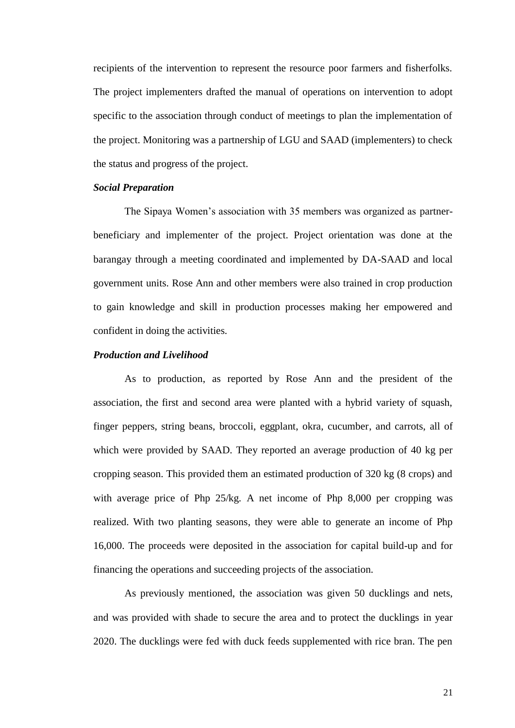recipients of the intervention to represent the resource poor farmers and fisherfolks. The project implementers drafted the manual of operations on intervention to adopt specific to the association through conduct of meetings to plan the implementation of the project. Monitoring was a partnership of LGU and SAAD (implementers) to check the status and progress of the project.

## *Social Preparation*

The Sipaya Women's association with 35 members was organized as partnerbeneficiary and implementer of the project. Project orientation was done at the barangay through a meeting coordinated and implemented by DA-SAAD and local government units. Rose Ann and other members were also trained in crop production to gain knowledge and skill in production processes making her empowered and confident in doing the activities.

## *Production and Livelihood*

As to production, as reported by Rose Ann and the president of the association, the first and second area were planted with a hybrid variety of squash, finger peppers, string beans, broccoli, eggplant, okra, cucumber, and carrots, all of which were provided by SAAD. They reported an average production of 40 kg per cropping season. This provided them an estimated production of 320 kg (8 crops) and with average price of Php 25/kg. A net income of Php 8,000 per cropping was realized. With two planting seasons, they were able to generate an income of Php 16,000. The proceeds were deposited in the association for capital build-up and for financing the operations and succeeding projects of the association.

As previously mentioned, the association was given 50 ducklings and nets, and was provided with shade to secure the area and to protect the ducklings in year 2020. The ducklings were fed with duck feeds supplemented with rice bran. The pen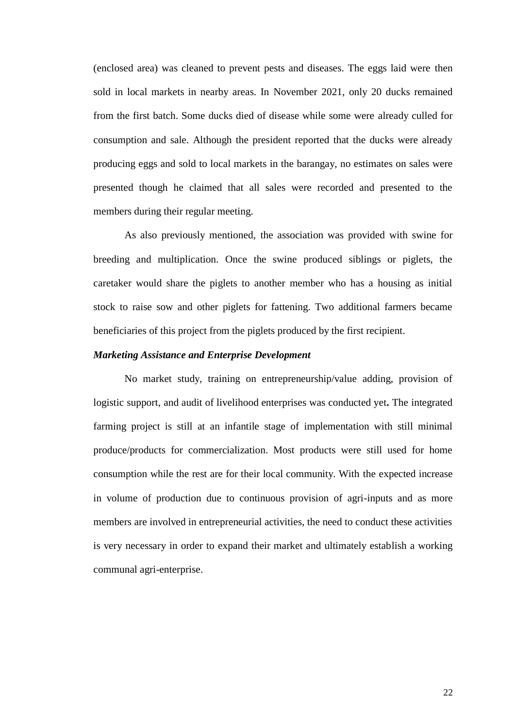(enclosed area) was cleaned to prevent pests and diseases. The eggs laid were then sold in local markets in nearby areas. In November 2021, only 20 ducks remained from the first batch. Some ducks died of disease while some were already culled for consumption and sale. Although the president reported that the ducks were already producing eggs and sold to local markets in the barangay, no estimates on sales were presented though he claimed that all sales were recorded and presented to the members during their regular meeting.

As also previously mentioned, the association was provided with swine for breeding and multiplication. Once the swine produced siblings or piglets, the caretaker would share the piglets to another member who has a housing as initial stock to raise sow and other piglets for fattening. Two additional farmers became beneficiaries of this project from the piglets produced by the first recipient.

## *Marketing Assistance and Enterprise Development*

<span id="page-23-0"></span>No market study, training on entrepreneurship/value adding, provision of logistic support, and audit of livelihood enterprises was conducted yet**.** The integrated farming project is still at an infantile stage of implementation with still minimal produce/products for commercialization. Most products were still used for home consumption while the rest are for their local community. With the expected increase in volume of production due to continuous provision of agri-inputs and as more members are involved in entrepreneurial activities, the need to conduct these activities is very necessary in order to expand their market and ultimately establish a working communal agri-enterprise.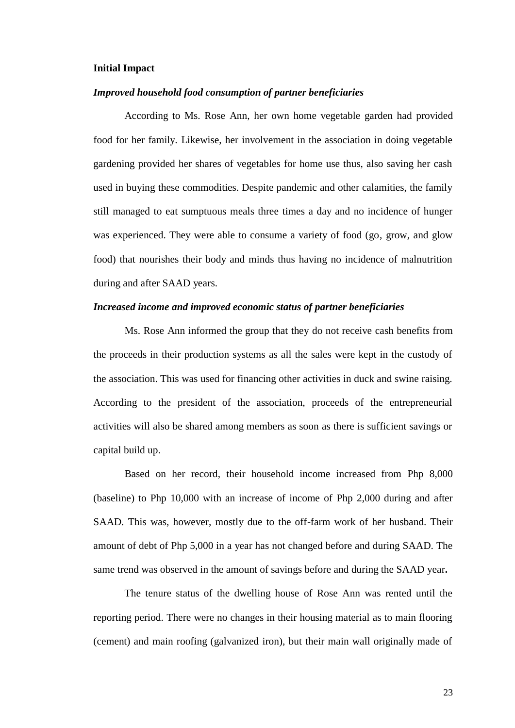#### **Initial Impact**

#### *Improved household food consumption of partner beneficiaries*

According to Ms. Rose Ann, her own home vegetable garden had provided food for her family. Likewise, her involvement in the association in doing vegetable gardening provided her shares of vegetables for home use thus, also saving her cash used in buying these commodities. Despite pandemic and other calamities, the family still managed to eat sumptuous meals three times a day and no incidence of hunger was experienced. They were able to consume a variety of food (go, grow, and glow food) that nourishes their body and minds thus having no incidence of malnutrition during and after SAAD years.

## *Increased income and improved economic status of partner beneficiaries*

Ms. Rose Ann informed the group that they do not receive cash benefits from the proceeds in their production systems as all the sales were kept in the custody of the association. This was used for financing other activities in duck and swine raising. According to the president of the association, proceeds of the entrepreneurial activities will also be shared among members as soon as there is sufficient savings or capital build up.

Based on her record, their household income increased from Php 8,000 (baseline) to Php 10,000 with an increase of income of Php 2,000 during and after SAAD. This was, however, mostly due to the off-farm work of her husband. Their amount of debt of Php 5,000 in a year has not changed before and during SAAD. The same trend was observed in the amount of savings before and during the SAAD year**.**

The tenure status of the dwelling house of Rose Ann was rented until the reporting period. There were no changes in their housing material as to main flooring (cement) and main roofing (galvanized iron), but their main wall originally made of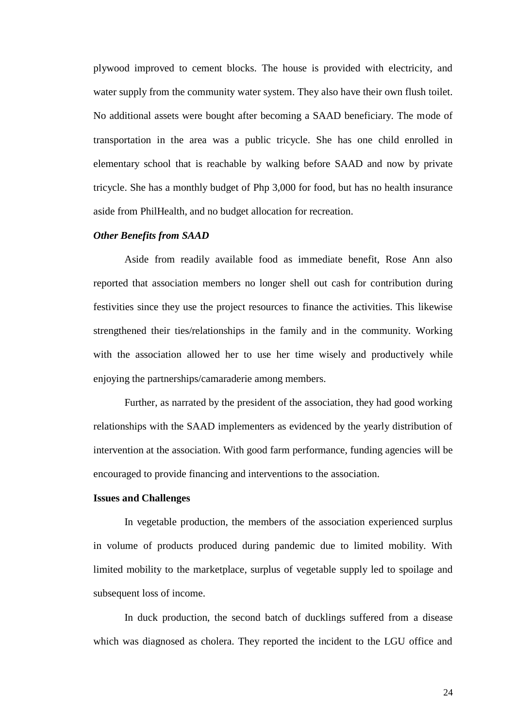plywood improved to cement blocks. The house is provided with electricity, and water supply from the community water system. They also have their own flush toilet. No additional assets were bought after becoming a SAAD beneficiary. The mode of transportation in the area was a public tricycle. She has one child enrolled in elementary school that is reachable by walking before SAAD and now by private tricycle. She has a monthly budget of Php 3,000 for food, but has no health insurance aside from PhilHealth, and no budget allocation for recreation.

## *Other Benefits from SAAD*

Aside from readily available food as immediate benefit, Rose Ann also reported that association members no longer shell out cash for contribution during festivities since they use the project resources to finance the activities. This likewise strengthened their ties/relationships in the family and in the community. Working with the association allowed her to use her time wisely and productively while enjoying the partnerships/camaraderie among members.

Further, as narrated by the president of the association, they had good working relationships with the SAAD implementers as evidenced by the yearly distribution of intervention at the association. With good farm performance, funding agencies will be encouraged to provide financing and interventions to the association.

#### <span id="page-25-0"></span>**Issues and Challenges**

In vegetable production, the members of the association experienced surplus in volume of products produced during pandemic due to limited mobility. With limited mobility to the marketplace, surplus of vegetable supply led to spoilage and subsequent loss of income.

In duck production, the second batch of ducklings suffered from a disease which was diagnosed as cholera. They reported the incident to the LGU office and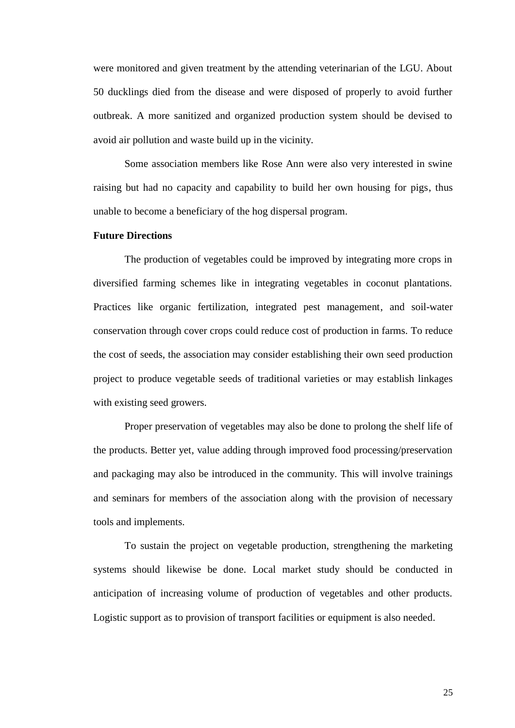were monitored and given treatment by the attending veterinarian of the LGU. About 50 ducklings died from the disease and were disposed of properly to avoid further outbreak. A more sanitized and organized production system should be devised to avoid air pollution and waste build up in the vicinity.

Some association members like Rose Ann were also very interested in swine raising but had no capacity and capability to build her own housing for pigs, thus unable to become a beneficiary of the hog dispersal program.

#### <span id="page-26-0"></span>**Future Directions**

The production of vegetables could be improved by integrating more crops in diversified farming schemes like in integrating vegetables in coconut plantations. Practices like organic fertilization, integrated pest management, and soil-water conservation through cover crops could reduce cost of production in farms. To reduce the cost of seeds, the association may consider establishing their own seed production project to produce vegetable seeds of traditional varieties or may establish linkages with existing seed growers.

Proper preservation of vegetables may also be done to prolong the shelf life of the products. Better yet, value adding through improved food processing/preservation and packaging may also be introduced in the community. This will involve trainings and seminars for members of the association along with the provision of necessary tools and implements.

To sustain the project on vegetable production, strengthening the marketing systems should likewise be done. Local market study should be conducted in anticipation of increasing volume of production of vegetables and other products. Logistic support as to provision of transport facilities or equipment is also needed.

25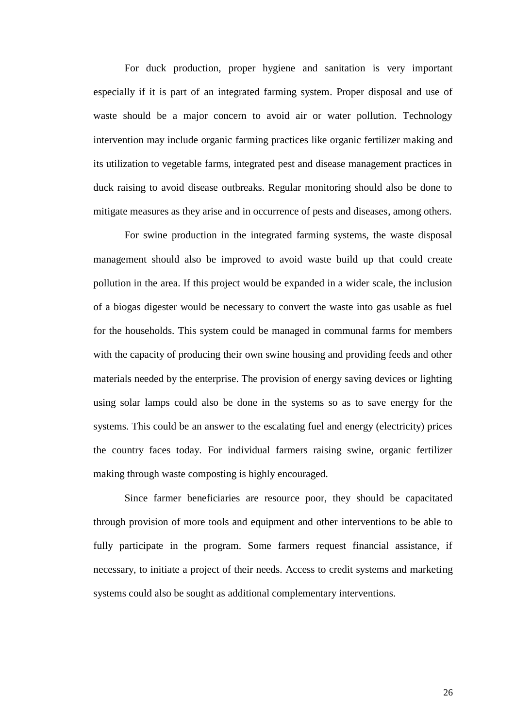For duck production, proper hygiene and sanitation is very important especially if it is part of an integrated farming system. Proper disposal and use of waste should be a major concern to avoid air or water pollution. Technology intervention may include organic farming practices like organic fertilizer making and its utilization to vegetable farms, integrated pest and disease management practices in duck raising to avoid disease outbreaks. Regular monitoring should also be done to mitigate measures as they arise and in occurrence of pests and diseases, among others.

For swine production in the integrated farming systems, the waste disposal management should also be improved to avoid waste build up that could create pollution in the area. If this project would be expanded in a wider scale, the inclusion of a biogas digester would be necessary to convert the waste into gas usable as fuel for the households. This system could be managed in communal farms for members with the capacity of producing their own swine housing and providing feeds and other materials needed by the enterprise. The provision of energy saving devices or lighting using solar lamps could also be done in the systems so as to save energy for the systems. This could be an answer to the escalating fuel and energy (electricity) prices the country faces today. For individual farmers raising swine, organic fertilizer making through waste composting is highly encouraged.

Since farmer beneficiaries are resource poor, they should be capacitated through provision of more tools and equipment and other interventions to be able to fully participate in the program. Some farmers request financial assistance, if necessary, to initiate a project of their needs. Access to credit systems and marketing systems could also be sought as additional complementary interventions.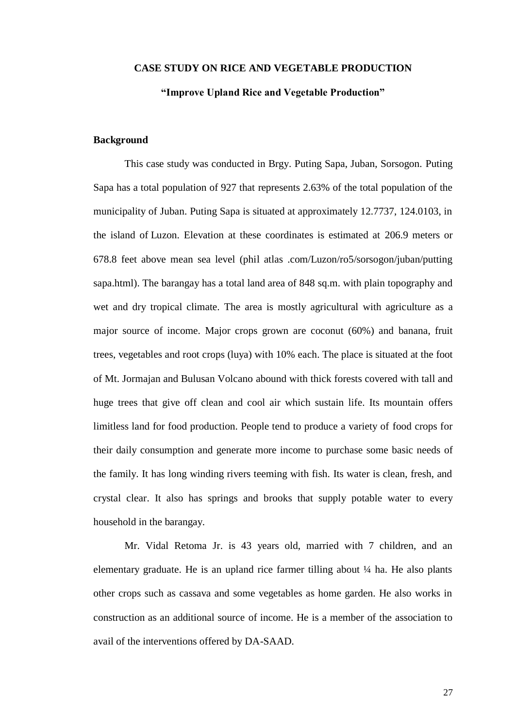# <span id="page-28-0"></span>**CASE STUDY ON RICE AND VEGETABLE PRODUCTION "Improve Upland Rice and Vegetable Production"**

## <span id="page-28-1"></span>**Background**

This case study was conducted in Brgy. Puting Sapa, Juban, Sorsogon. Puting Sapa has a total population of 927 that represents 2.63% of the total population of the municipality of Juban. Puting Sapa is situated at approximately 12.7737, 124.0103, in the island of [Luzon.](https://www.philatlas.com/physical/islands/luzon.html) Elevation at these coordinates is estimated at 206.9 meters or 678.8 feet above mean sea level (phil atlas .com/Luzon/ro5/sorsogon/juban/putting sapa.html). The barangay has a total land area of 848 sq.m. with plain topography and wet and dry tropical climate. The area is mostly agricultural with agriculture as a major source of income. Major crops grown are coconut (60%) and banana, fruit trees, vegetables and root crops (luya) with 10% each. The place is situated at the foot of Mt. Jormajan and Bulusan Volcano abound with thick forests covered with tall and huge trees that give off clean and cool air which sustain life. Its mountain offers limitless land for food production. People tend to produce a variety of food crops for their daily consumption and generate more income to purchase some basic needs of the family. It has long winding rivers teeming with fish. Its water is clean, fresh, and crystal clear. It also has springs and brooks that supply potable water to every household in the barangay.

Mr. Vidal Retoma Jr. is 43 years old, married with 7 children, and an elementary graduate. He is an upland rice farmer tilling about ¼ ha. He also plants other crops such as cassava and some vegetables as home garden. He also works in construction as an additional source of income. He is a member of the association to avail of the interventions offered by DA-SAAD.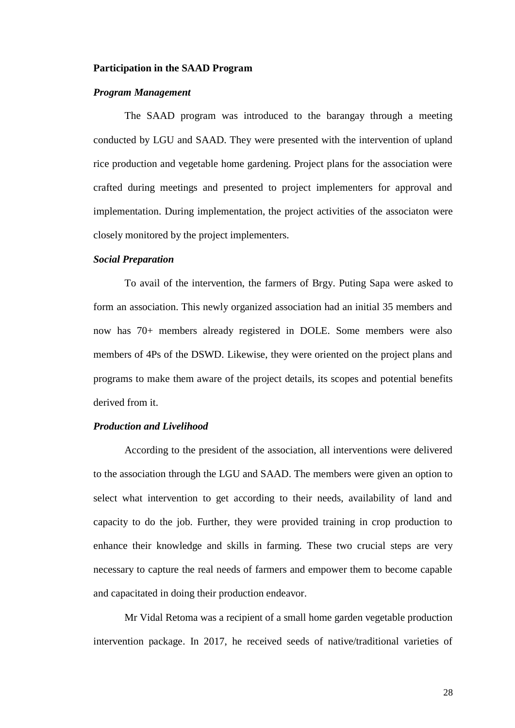## <span id="page-29-0"></span>**Participation in the SAAD Program**

#### *Program Management*

The SAAD program was introduced to the barangay through a meeting conducted by LGU and SAAD. They were presented with the intervention of upland rice production and vegetable home gardening. Project plans for the association were crafted during meetings and presented to project implementers for approval and implementation. During implementation, the project activities of the associaton were closely monitored by the project implementers.

#### *Social Preparation*

To avail of the intervention, the farmers of Brgy. Puting Sapa were asked to form an association. This newly organized association had an initial 35 members and now has 70+ members already registered in DOLE. Some members were also members of 4Ps of the DSWD. Likewise, they were oriented on the project plans and programs to make them aware of the project details, its scopes and potential benefits derived from it.

#### *Production and Livelihood*

According to the president of the association, all interventions were delivered to the association through the LGU and SAAD. The members were given an option to select what intervention to get according to their needs, availability of land and capacity to do the job. Further, they were provided training in crop production to enhance their knowledge and skills in farming. These two crucial steps are very necessary to capture the real needs of farmers and empower them to become capable and capacitated in doing their production endeavor.

Mr Vidal Retoma was a recipient of a small home garden vegetable production intervention package. In 2017, he received seeds of native/traditional varieties of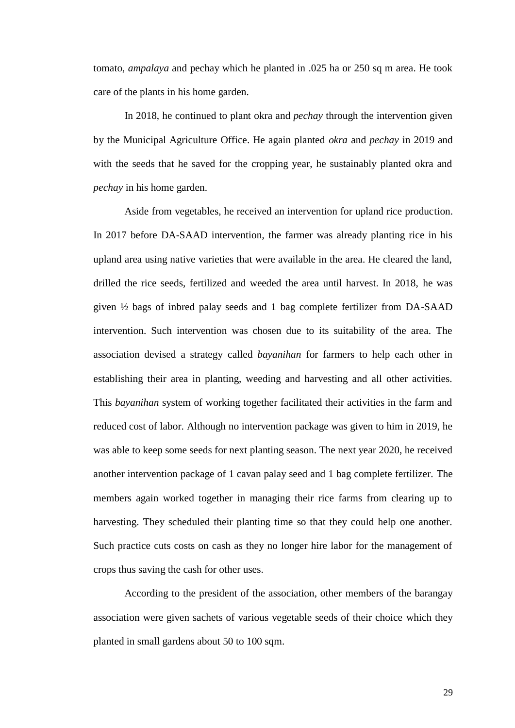tomato, *ampalaya* and pechay which he planted in .025 ha or 250 sq m area. He took care of the plants in his home garden.

In 2018, he continued to plant okra and *pechay* through the intervention given by the Municipal Agriculture Office. He again planted *okra* and *pechay* in 2019 and with the seeds that he saved for the cropping year, he sustainably planted okra and *pechay* in his home garden.

Aside from vegetables, he received an intervention for upland rice production. In 2017 before DA-SAAD intervention, the farmer was already planting rice in his upland area using native varieties that were available in the area. He cleared the land, drilled the rice seeds, fertilized and weeded the area until harvest. In 2018, he was given ½ bags of inbred palay seeds and 1 bag complete fertilizer from DA-SAAD intervention. Such intervention was chosen due to its suitability of the area. The association devised a strategy called *bayanihan* for farmers to help each other in establishing their area in planting, weeding and harvesting and all other activities. This *bayanihan* system of working together facilitated their activities in the farm and reduced cost of labor. Although no intervention package was given to him in 2019, he was able to keep some seeds for next planting season. The next year 2020, he received another intervention package of 1 cavan palay seed and 1 bag complete fertilizer. The members again worked together in managing their rice farms from clearing up to harvesting. They scheduled their planting time so that they could help one another. Such practice cuts costs on cash as they no longer hire labor for the management of crops thus saving the cash for other uses.

According to the president of the association, other members of the barangay association were given sachets of various vegetable seeds of their choice which they planted in small gardens about 50 to 100 sqm.

29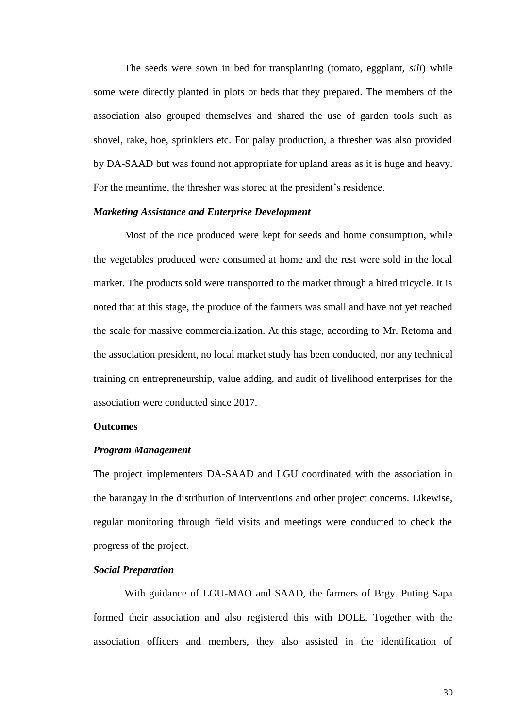The seeds were sown in bed for transplanting (tomato, eggplant, *sili*) while some were directly planted in plots or beds that they prepared. The members of the association also grouped themselves and shared the use of garden tools such as shovel, rake, hoe, sprinklers etc. For palay production, a thresher was also provided by DA-SAAD but was found not appropriate for upland areas as it is huge and heavy. For the meantime, the thresher was stored at the president's residence.

#### *Marketing Assistance and Enterprise Development*

Most of the rice produced were kept for seeds and home consumption, while the vegetables produced were consumed at home and the rest were sold in the local market. The products sold were transported to the market through a hired tricycle. It is noted that at this stage, the produce of the farmers was small and have not yet reached the scale for massive commercialization. At this stage, according to Mr. Retoma and the association president, no local market study has been conducted, nor any technical training on entrepreneurship, value adding, and audit of livelihood enterprises for the association were conducted since 2017.

## <span id="page-31-0"></span>**Outcomes**

## *Program Management*

The project implementers DA-SAAD and LGU coordinated with the association in the barangay in the distribution of interventions and other project concerns. Likewise, regular monitoring through field visits and meetings were conducted to check the progress of the project.

#### *Social Preparation*

With guidance of LGU-MAO and SAAD, the farmers of Brgy. Puting Sapa formed their association and also registered this with DOLE. Together with the association officers and members, they also assisted in the identification of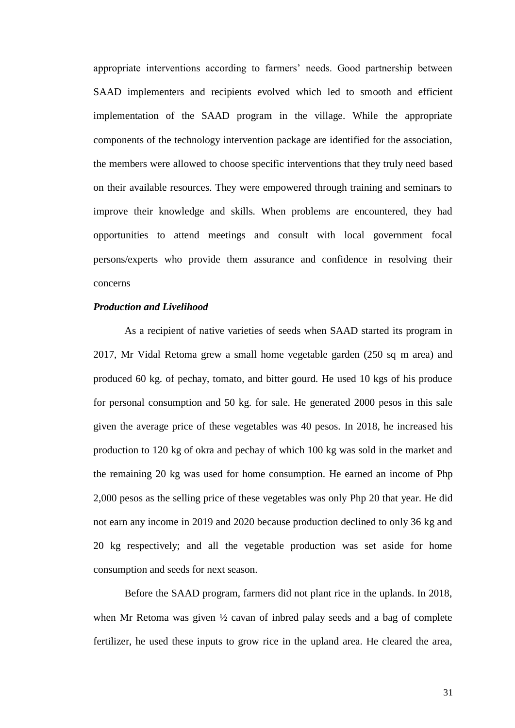appropriate interventions according to farmers' needs. Good partnership between SAAD implementers and recipients evolved which led to smooth and efficient implementation of the SAAD program in the village. While the appropriate components of the technology intervention package are identified for the association, the members were allowed to choose specific interventions that they truly need based on their available resources. They were empowered through training and seminars to improve their knowledge and skills. When problems are encountered, they had opportunities to attend meetings and consult with local government focal persons/experts who provide them assurance and confidence in resolving their concerns

## *Production and Livelihood*

As a recipient of native varieties of seeds when SAAD started its program in 2017, Mr Vidal Retoma grew a small home vegetable garden (250 sq m area) and produced 60 kg. of pechay, tomato, and bitter gourd. He used 10 kgs of his produce for personal consumption and 50 kg. for sale. He generated 2000 pesos in this sale given the average price of these vegetables was 40 pesos. In 2018, he increased his production to 120 kg of okra and pechay of which 100 kg was sold in the market and the remaining 20 kg was used for home consumption. He earned an income of Php 2,000 pesos as the selling price of these vegetables was only Php 20 that year. He did not earn any income in 2019 and 2020 because production declined to only 36 kg and 20 kg respectively; and all the vegetable production was set aside for home consumption and seeds for next season.

Before the SAAD program, farmers did not plant rice in the uplands. In 2018, when Mr Retoma was given ½ cavan of inbred palay seeds and a bag of complete fertilizer, he used these inputs to grow rice in the upland area. He cleared the area,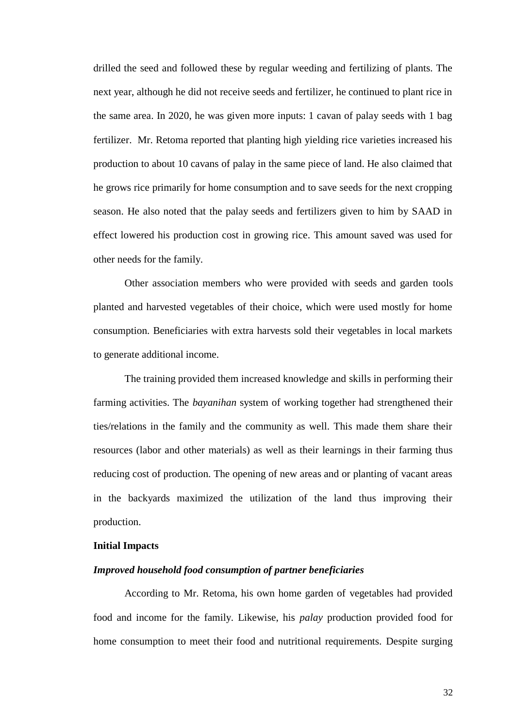drilled the seed and followed these by regular weeding and fertilizing of plants. The next year, although he did not receive seeds and fertilizer, he continued to plant rice in the same area. In 2020, he was given more inputs: 1 cavan of palay seeds with 1 bag fertilizer. Mr. Retoma reported that planting high yielding rice varieties increased his production to about 10 cavans of palay in the same piece of land. He also claimed that he grows rice primarily for home consumption and to save seeds for the next cropping season. He also noted that the palay seeds and fertilizers given to him by SAAD in effect lowered his production cost in growing rice. This amount saved was used for other needs for the family.

Other association members who were provided with seeds and garden tools planted and harvested vegetables of their choice, which were used mostly for home consumption. Beneficiaries with extra harvests sold their vegetables in local markets to generate additional income.

The training provided them increased knowledge and skills in performing their farming activities. The *bayanihan* system of working together had strengthened their ties/relations in the family and the community as well. This made them share their resources (labor and other materials) as well as their learnings in their farming thus reducing cost of production. The opening of new areas and or planting of vacant areas in the backyards maximized the utilization of the land thus improving their production.

#### <span id="page-33-0"></span>**Initial Impacts**

#### *Improved household food consumption of partner beneficiaries*

According to Mr. Retoma, his own home garden of vegetables had provided food and income for the family. Likewise, his *palay* production provided food for home consumption to meet their food and nutritional requirements. Despite surging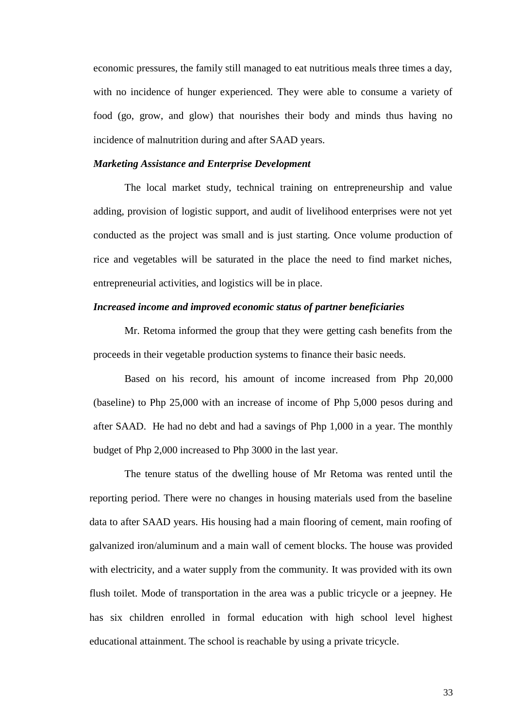economic pressures, the family still managed to eat nutritious meals three times a day, with no incidence of hunger experienced. They were able to consume a variety of food (go, grow, and glow) that nourishes their body and minds thus having no incidence of malnutrition during and after SAAD years.

## *Marketing Assistance and Enterprise Development*

The local market study, technical training on entrepreneurship and value adding, provision of logistic support, and audit of livelihood enterprises were not yet conducted as the project was small and is just starting. Once volume production of rice and vegetables will be saturated in the place the need to find market niches, entrepreneurial activities, and logistics will be in place.

## *Increased income and improved economic status of partner beneficiaries*

Mr. Retoma informed the group that they were getting cash benefits from the proceeds in their vegetable production systems to finance their basic needs.

Based on his record, his amount of income increased from Php 20,000 (baseline) to Php 25,000 with an increase of income of Php 5,000 pesos during and after SAAD. He had no debt and had a savings of Php 1,000 in a year. The monthly budget of Php 2,000 increased to Php 3000 in the last year.

The tenure status of the dwelling house of Mr Retoma was rented until the reporting period. There were no changes in housing materials used from the baseline data to after SAAD years. His housing had a main flooring of cement, main roofing of galvanized iron/aluminum and a main wall of cement blocks. The house was provided with electricity, and a water supply from the community. It was provided with its own flush toilet. Mode of transportation in the area was a public tricycle or a jeepney. He has six children enrolled in formal education with high school level highest educational attainment. The school is reachable by using a private tricycle.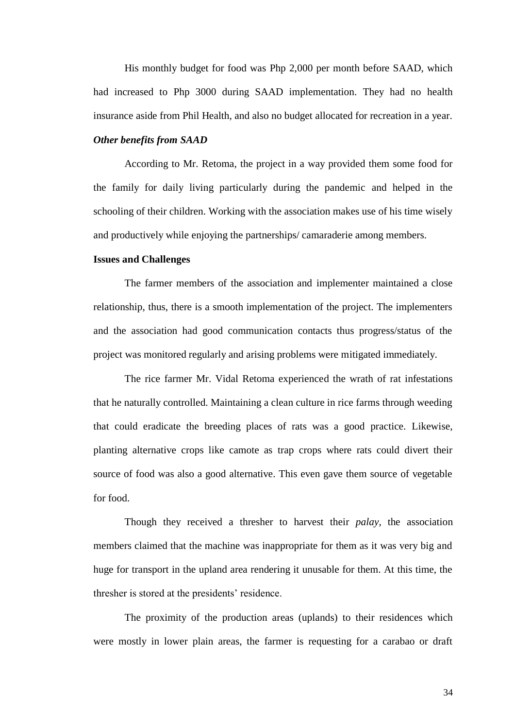His monthly budget for food was Php 2,000 per month before SAAD, which had increased to Php 3000 during SAAD implementation. They had no health insurance aside from Phil Health, and also no budget allocated for recreation in a year. *Other benefits from SAAD*

According to Mr. Retoma, the project in a way provided them some food for the family for daily living particularly during the pandemic and helped in the schooling of their children. Working with the association makes use of his time wisely and productively while enjoying the partnerships/ camaraderie among members.

#### <span id="page-35-0"></span>**Issues and Challenges**

The farmer members of the association and implementer maintained a close relationship, thus, there is a smooth implementation of the project. The implementers and the association had good communication contacts thus progress/status of the project was monitored regularly and arising problems were mitigated immediately.

The rice farmer Mr. Vidal Retoma experienced the wrath of rat infestations that he naturally controlled. Maintaining a clean culture in rice farms through weeding that could eradicate the breeding places of rats was a good practice. Likewise, planting alternative crops like camote as trap crops where rats could divert their source of food was also a good alternative. This even gave them source of vegetable for food.

Though they received a thresher to harvest their *palay*, the association members claimed that the machine was inappropriate for them as it was very big and huge for transport in the upland area rendering it unusable for them. At this time, the thresher is stored at the presidents' residence.

The proximity of the production areas (uplands) to their residences which were mostly in lower plain areas, the farmer is requesting for a carabao or draft

34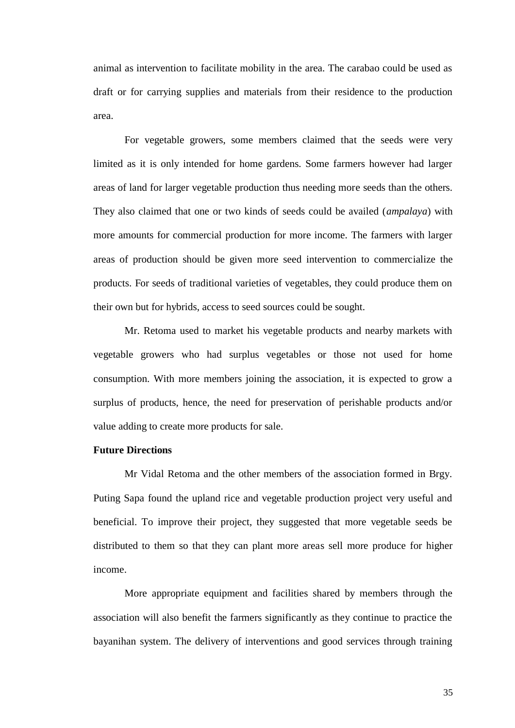animal as intervention to facilitate mobility in the area. The carabao could be used as draft or for carrying supplies and materials from their residence to the production area.

For vegetable growers, some members claimed that the seeds were very limited as it is only intended for home gardens. Some farmers however had larger areas of land for larger vegetable production thus needing more seeds than the others. They also claimed that one or two kinds of seeds could be availed (*ampalaya*) with more amounts for commercial production for more income. The farmers with larger areas of production should be given more seed intervention to commercialize the products. For seeds of traditional varieties of vegetables, they could produce them on their own but for hybrids, access to seed sources could be sought.

Mr. Retoma used to market his vegetable products and nearby markets with vegetable growers who had surplus vegetables or those not used for home consumption. With more members joining the association, it is expected to grow a surplus of products, hence, the need for preservation of perishable products and/or value adding to create more products for sale.

## <span id="page-36-0"></span>**Future Directions**

Mr Vidal Retoma and the other members of the association formed in Brgy. Puting Sapa found the upland rice and vegetable production project very useful and beneficial. To improve their project, they suggested that more vegetable seeds be distributed to them so that they can plant more areas sell more produce for higher income.

More appropriate equipment and facilities shared by members through the association will also benefit the farmers significantly as they continue to practice the bayanihan system. The delivery of interventions and good services through training

35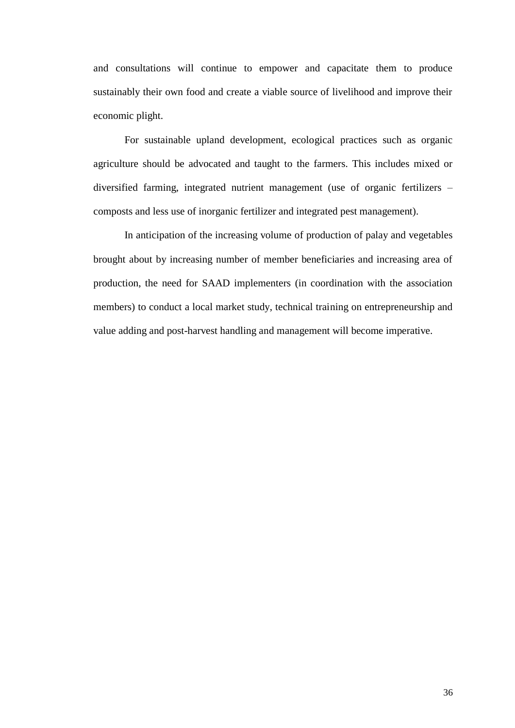and consultations will continue to empower and capacitate them to produce sustainably their own food and create a viable source of livelihood and improve their economic plight.

For sustainable upland development, ecological practices such as organic agriculture should be advocated and taught to the farmers. This includes mixed or diversified farming, integrated nutrient management (use of organic fertilizers – composts and less use of inorganic fertilizer and integrated pest management).

In anticipation of the increasing volume of production of palay and vegetables brought about by increasing number of member beneficiaries and increasing area of production, the need for SAAD implementers (in coordination with the association members) to conduct a local market study, technical training on entrepreneurship and value adding and post-harvest handling and management will become imperative.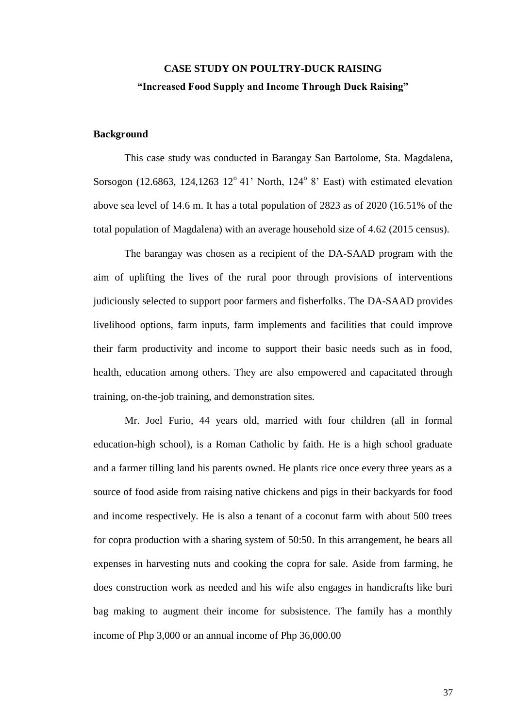## <span id="page-38-0"></span>**CASE STUDY ON POULTRY-DUCK RAISING "Increased Food Supply and Income Through Duck Raising"**

## <span id="page-38-1"></span>**Background**

This case study was conducted in Barangay San Bartolome, Sta. Magdalena, Sorsogon (12.6863, 124,1263  $12^{\circ}$  41' North, 124 $^{\circ}$  8' East) with estimated elevation above sea level of 14.6 m. It has a total population of 2823 as of 2020 (16.51% of the total population of Magdalena) with an average household size of 4.62 (2015 census).

The barangay was chosen as a recipient of the DA-SAAD program with the aim of uplifting the lives of the rural poor through provisions of interventions judiciously selected to support poor farmers and fisherfolks. The DA-SAAD provides livelihood options, farm inputs, farm implements and facilities that could improve their farm productivity and income to support their basic needs such as in food, health, education among others. They are also empowered and capacitated through training, on-the-job training, and demonstration sites.

Mr. Joel Furio, 44 years old, married with four children (all in formal education-high school), is a Roman Catholic by faith. He is a high school graduate and a farmer tilling land his parents owned. He plants rice once every three years as a source of food aside from raising native chickens and pigs in their backyards for food and income respectively. He is also a tenant of a coconut farm with about 500 trees for copra production with a sharing system of 50:50. In this arrangement, he bears all expenses in harvesting nuts and cooking the copra for sale. Aside from farming, he does construction work as needed and his wife also engages in handicrafts like buri bag making to augment their income for subsistence. The family has a monthly income of Php 3,000 or an annual income of Php 36,000.00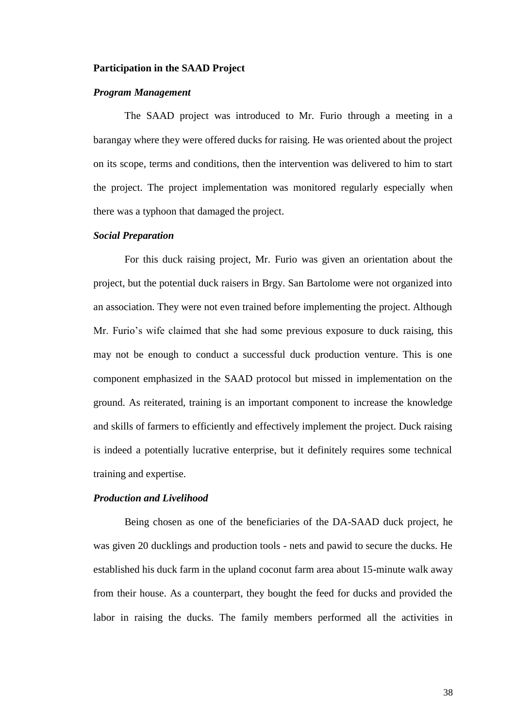#### <span id="page-39-0"></span>**Participation in the SAAD Project**

#### *Program Management*

The SAAD project was introduced to Mr. Furio through a meeting in a barangay where they were offered ducks for raising. He was oriented about the project on its scope, terms and conditions, then the intervention was delivered to him to start the project. The project implementation was monitored regularly especially when there was a typhoon that damaged the project.

#### *Social Preparation*

For this duck raising project, Mr. Furio was given an orientation about the project, but the potential duck raisers in Brgy. San Bartolome were not organized into an association. They were not even trained before implementing the project. Although Mr. Furio's wife claimed that she had some previous exposure to duck raising, this may not be enough to conduct a successful duck production venture. This is one component emphasized in the SAAD protocol but missed in implementation on the ground. As reiterated, training is an important component to increase the knowledge and skills of farmers to efficiently and effectively implement the project. Duck raising is indeed a potentially lucrative enterprise, but it definitely requires some technical training and expertise.

## *Production and Livelihood*

Being chosen as one of the beneficiaries of the DA-SAAD duck project, he was given 20 ducklings and production tools - nets and pawid to secure the ducks. He established his duck farm in the upland coconut farm area about 15-minute walk away from their house. As a counterpart, they bought the feed for ducks and provided the labor in raising the ducks. The family members performed all the activities in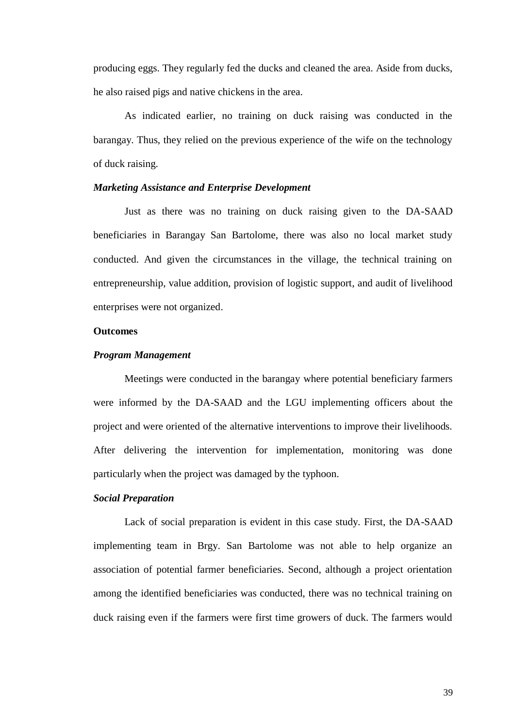producing eggs. They regularly fed the ducks and cleaned the area. Aside from ducks, he also raised pigs and native chickens in the area.

As indicated earlier, no training on duck raising was conducted in the barangay. Thus, they relied on the previous experience of the wife on the technology of duck raising.

## *Marketing Assistance and Enterprise Development*

Just as there was no training on duck raising given to the DA-SAAD beneficiaries in Barangay San Bartolome, there was also no local market study conducted. And given the circumstances in the village, the technical training on entrepreneurship, value addition, provision of logistic support, and audit of livelihood enterprises were not organized.

## <span id="page-40-0"></span>**Outcomes**

#### *Program Management*

Meetings were conducted in the barangay where potential beneficiary farmers were informed by the DA-SAAD and the LGU implementing officers about the project and were oriented of the alternative interventions to improve their livelihoods. After delivering the intervention for implementation, monitoring was done particularly when the project was damaged by the typhoon.

### *Social Preparation*

Lack of social preparation is evident in this case study. First, the DA-SAAD implementing team in Brgy. San Bartolome was not able to help organize an association of potential farmer beneficiaries. Second, although a project orientation among the identified beneficiaries was conducted, there was no technical training on duck raising even if the farmers were first time growers of duck. The farmers would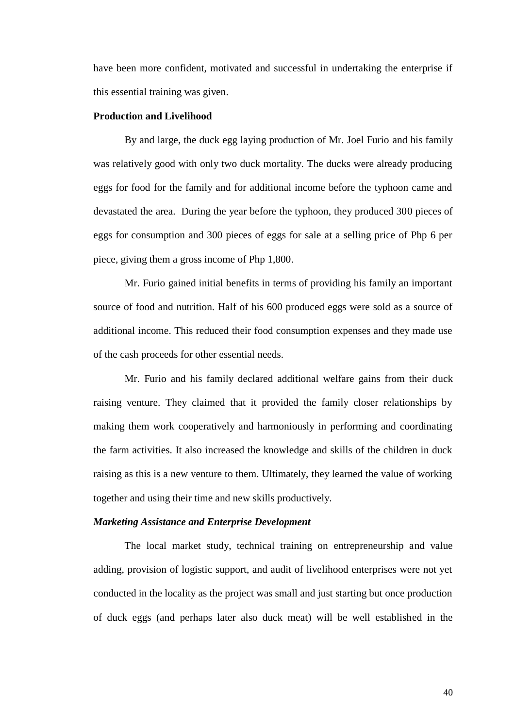have been more confident, motivated and successful in undertaking the enterprise if this essential training was given.

#### <span id="page-41-0"></span>**Production and Livelihood**

By and large, the duck egg laying production of Mr. Joel Furio and his family was relatively good with only two duck mortality. The ducks were already producing eggs for food for the family and for additional income before the typhoon came and devastated the area. During the year before the typhoon, they produced 300 pieces of eggs for consumption and 300 pieces of eggs for sale at a selling price of Php 6 per piece, giving them a gross income of Php 1,800.

Mr. Furio gained initial benefits in terms of providing his family an important source of food and nutrition. Half of his 600 produced eggs were sold as a source of additional income. This reduced their food consumption expenses and they made use of the cash proceeds for other essential needs.

Mr. Furio and his family declared additional welfare gains from their duck raising venture. They claimed that it provided the family closer relationships by making them work cooperatively and harmoniously in performing and coordinating the farm activities. It also increased the knowledge and skills of the children in duck raising as this is a new venture to them. Ultimately, they learned the value of working together and using their time and new skills productively.

#### *Marketing Assistance and Enterprise Development*

The local market study, technical training on entrepreneurship and value adding, provision of logistic support, and audit of livelihood enterprises were not yet conducted in the locality as the project was small and just starting but once production of duck eggs (and perhaps later also duck meat) will be well established in the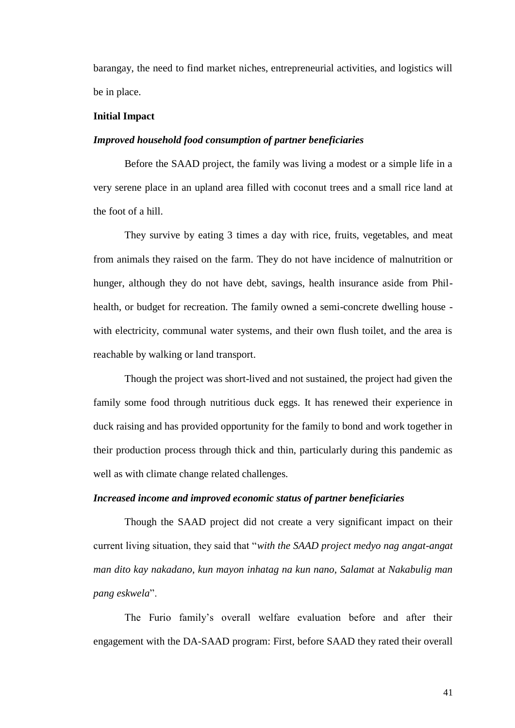barangay, the need to find market niches, entrepreneurial activities, and logistics will be in place.

#### <span id="page-42-0"></span>**Initial Impact**

#### *Improved household food consumption of partner beneficiaries*

Before the SAAD project, the family was living a modest or a simple life in a very serene place in an upland area filled with coconut trees and a small rice land at the foot of a hill.

They survive by eating 3 times a day with rice, fruits, vegetables, and meat from animals they raised on the farm. They do not have incidence of malnutrition or hunger, although they do not have debt, savings, health insurance aside from Philhealth, or budget for recreation. The family owned a semi-concrete dwelling house with electricity, communal water systems, and their own flush toilet, and the area is reachable by walking or land transport.

Though the project was short-lived and not sustained, the project had given the family some food through nutritious duck eggs. It has renewed their experience in duck raising and has provided opportunity for the family to bond and work together in their production process through thick and thin, particularly during this pandemic as well as with climate change related challenges.

## *Increased income and improved economic status of partner beneficiaries*

Though the SAAD project did not create a very significant impact on their current living situation, they said that "*with the SAAD project medyo nag angat-angat man dito kay nakadano, kun mayon inhatag na kun nano, Salamat* a*t Nakabulig man pang eskwela*".

The Furio family's overall welfare evaluation before and after their engagement with the DA-SAAD program: First, before SAAD they rated their overall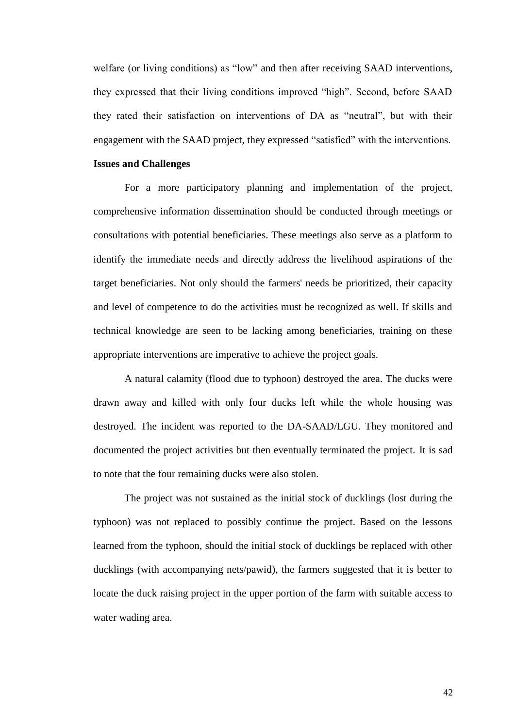welfare (or living conditions) as "low" and then after receiving SAAD interventions, they expressed that their living conditions improved "high". Second, before SAAD they rated their satisfaction on interventions of DA as "neutral", but with their engagement with the SAAD project, they expressed "satisfied" with the interventions.

#### <span id="page-43-0"></span>**Issues and Challenges**

For a more participatory planning and implementation of the project, comprehensive information dissemination should be conducted through meetings or consultations with potential beneficiaries. These meetings also serve as a platform to identify the immediate needs and directly address the livelihood aspirations of the target beneficiaries. Not only should the farmers' needs be prioritized, their capacity and level of competence to do the activities must be recognized as well. If skills and technical knowledge are seen to be lacking among beneficiaries, training on these appropriate interventions are imperative to achieve the project goals.

A natural calamity (flood due to typhoon) destroyed the area. The ducks were drawn away and killed with only four ducks left while the whole housing was destroyed. The incident was reported to the DA-SAAD/LGU. They monitored and documented the project activities but then eventually terminated the project. It is sad to note that the four remaining ducks were also stolen.

The project was not sustained as the initial stock of ducklings (lost during the typhoon) was not replaced to possibly continue the project. Based on the lessons learned from the typhoon, should the initial stock of ducklings be replaced with other ducklings (with accompanying nets/pawid), the farmers suggested that it is better to locate the duck raising project in the upper portion of the farm with suitable access to water wading area.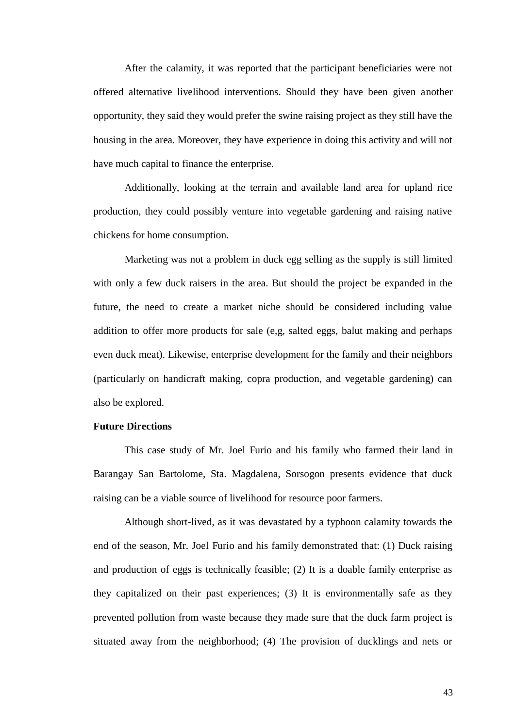After the calamity, it was reported that the participant beneficiaries were not offered alternative livelihood interventions. Should they have been given another opportunity, they said they would prefer the swine raising project as they still have the housing in the area. Moreover, they have experience in doing this activity and will not have much capital to finance the enterprise.

Additionally, looking at the terrain and available land area for upland rice production, they could possibly venture into vegetable gardening and raising native chickens for home consumption.

Marketing was not a problem in duck egg selling as the supply is still limited with only a few duck raisers in the area. But should the project be expanded in the future, the need to create a market niche should be considered including value addition to offer more products for sale (e,g, salted eggs, balut making and perhaps even duck meat). Likewise, enterprise development for the family and their neighbors (particularly on handicraft making, copra production, and vegetable gardening) can also be explored.

#### <span id="page-44-0"></span>**Future Directions**

This case study of Mr. Joel Furio and his family who farmed their land in Barangay San Bartolome, Sta. Magdalena, Sorsogon presents evidence that duck raising can be a viable source of livelihood for resource poor farmers.

Although short-lived, as it was devastated by a typhoon calamity towards the end of the season, Mr. Joel Furio and his family demonstrated that: (1) Duck raising and production of eggs is technically feasible; (2) It is a doable family enterprise as they capitalized on their past experiences; (3) It is environmentally safe as they prevented pollution from waste because they made sure that the duck farm project is situated away from the neighborhood; (4) The provision of ducklings and nets or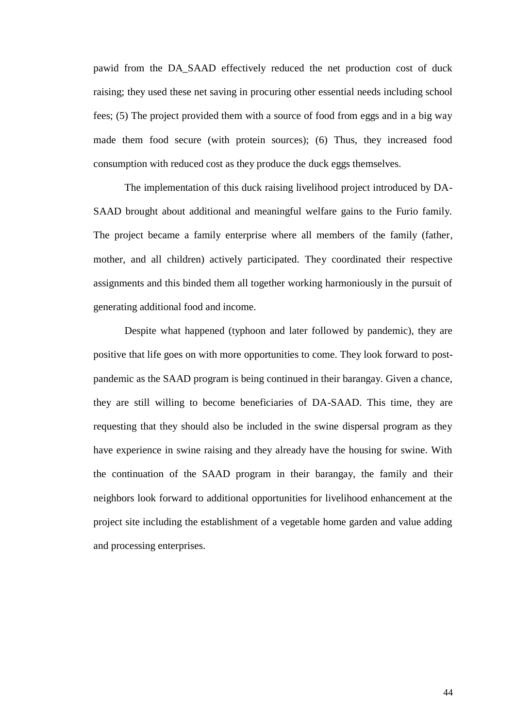pawid from the DA\_SAAD effectively reduced the net production cost of duck raising; they used these net saving in procuring other essential needs including school fees; (5) The project provided them with a source of food from eggs and in a big way made them food secure (with protein sources); (6) Thus, they increased food consumption with reduced cost as they produce the duck eggs themselves.

The implementation of this duck raising livelihood project introduced by DA-SAAD brought about additional and meaningful welfare gains to the Furio family. The project became a family enterprise where all members of the family (father, mother, and all children) actively participated. They coordinated their respective assignments and this binded them all together working harmoniously in the pursuit of generating additional food and income.

Despite what happened (typhoon and later followed by pandemic), they are positive that life goes on with more opportunities to come. They look forward to postpandemic as the SAAD program is being continued in their barangay. Given a chance, they are still willing to become beneficiaries of DA-SAAD. This time, they are requesting that they should also be included in the swine dispersal program as they have experience in swine raising and they already have the housing for swine. With the continuation of the SAAD program in their barangay, the family and their neighbors look forward to additional opportunities for livelihood enhancement at the project site including the establishment of a vegetable home garden and value adding and processing enterprises.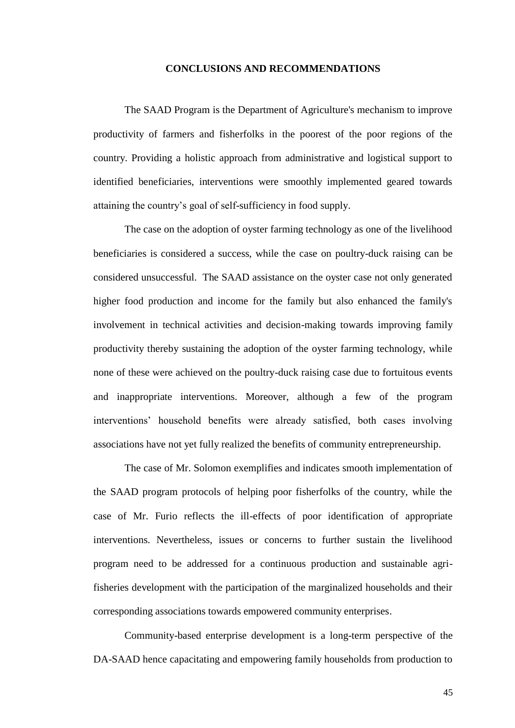#### **CONCLUSIONS AND RECOMMENDATIONS**

<span id="page-46-0"></span>The SAAD Program is the Department of Agriculture's mechanism to improve productivity of farmers and fisherfolks in the poorest of the poor regions of the country. Providing a holistic approach from administrative and logistical support to identified beneficiaries, interventions were smoothly implemented geared towards attaining the country's goal of self-sufficiency in food supply.

The case on the adoption of oyster farming technology as one of the livelihood beneficiaries is considered a success, while the case on poultry-duck raising can be considered unsuccessful. The SAAD assistance on the oyster case not only generated higher food production and income for the family but also enhanced the family's involvement in technical activities and decision-making towards improving family productivity thereby sustaining the adoption of the oyster farming technology, while none of these were achieved on the poultry-duck raising case due to fortuitous events and inappropriate interventions. Moreover, although a few of the program interventions' household benefits were already satisfied, both cases involving associations have not yet fully realized the benefits of community entrepreneurship.

The case of Mr. Solomon exemplifies and indicates smooth implementation of the SAAD program protocols of helping poor fisherfolks of the country, while the case of Mr. Furio reflects the ill-effects of poor identification of appropriate interventions. Nevertheless, issues or concerns to further sustain the livelihood program need to be addressed for a continuous production and sustainable agrifisheries development with the participation of the marginalized households and their corresponding associations towards empowered community enterprises.

Community-based enterprise development is a long-term perspective of the DA-SAAD hence capacitating and empowering family households from production to

45